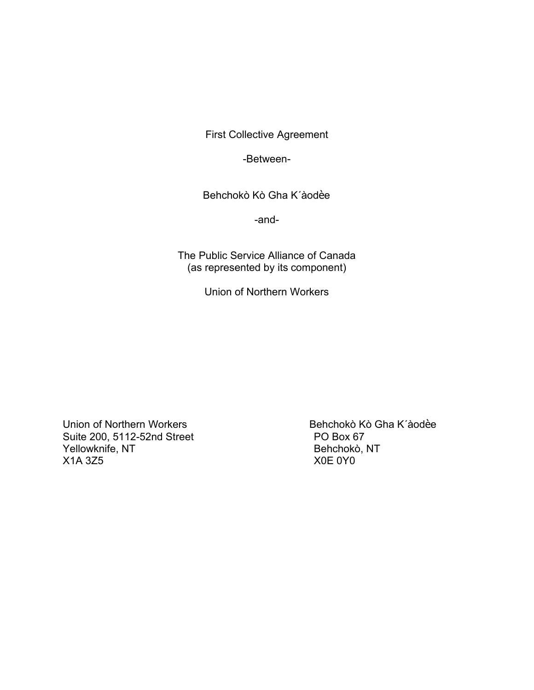First Collective Agreement

-Between-

Behchokò Kò Gha K'àodèe

-and-

The Public Service Alliance of Canada (as represented by its component)

Union of Northern Workers

Union of Northern Workers<br>
Suite 200. 5112-52nd Street<br>
PO Box 67 Suite 200, 5112-52nd Street PO Box 67<br>
PO Box 67<br>
Pehchokò, NT Yellowknife, NT X1A 3Z5 X0E 0Y0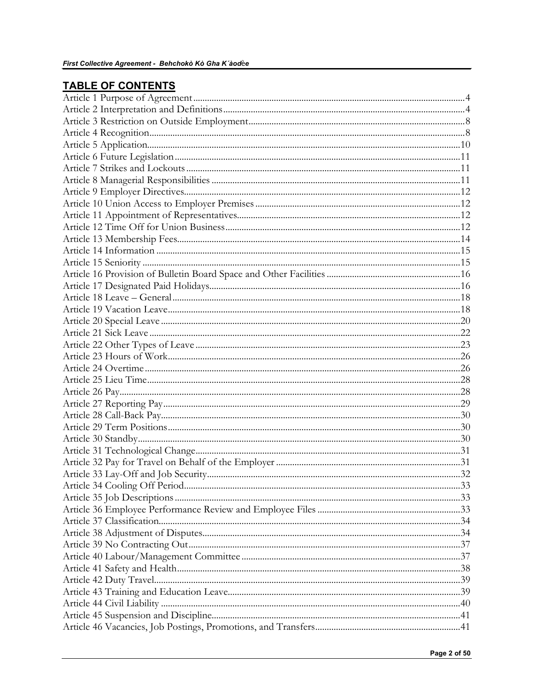# **TABLE OF CONTENTS**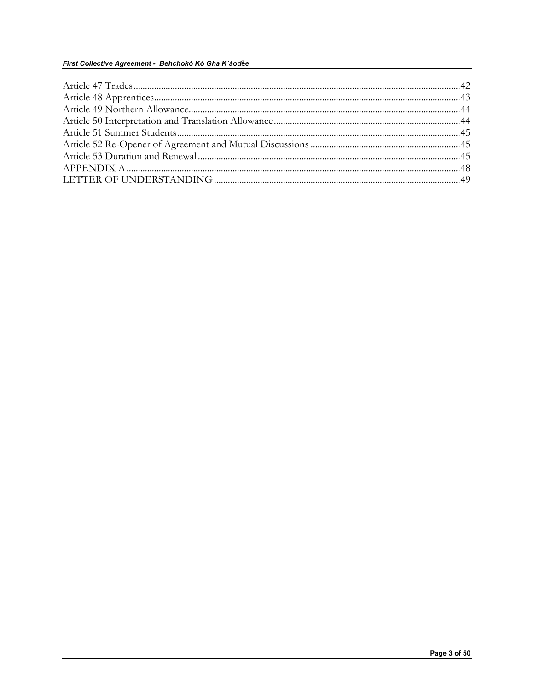#### First Collective Agreement - Behchokò Kò Gha K'àodèe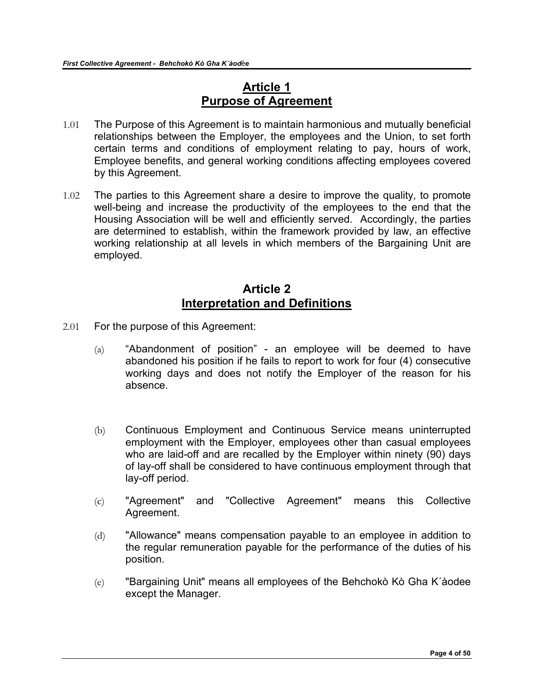## **Article 1 Purpose of Agreement**

- <span id="page-3-0"></span>1.01 The Purpose of this Agreement is to maintain harmonious and mutually beneficial relationships between the Employer, the employees and the Union, to set forth certain terms and conditions of employment relating to pay, hours of work, Employee benefits, and general working conditions affecting employees covered by this Agreement.
- 1.02 The parties to this Agreement share a desire to improve the quality, to promote well-being and increase the productivity of the employees to the end that the Housing Association will be well and efficiently served. Accordingly, the parties are determined to establish, within the framework provided by law, an effective working relationship at all levels in which members of the Bargaining Unit are employed.

### **Article 2 Interpretation and Definitions**

- <span id="page-3-1"></span>2.01 For the purpose of this Agreement:
	- (a) "Abandonment of position" an employee will be deemed to have abandoned his position if he fails to report to work for four (4) consecutive working days and does not notify the Employer of the reason for his absence.
	- (b) Continuous Employment and Continuous Service means uninterrupted employment with the Employer, employees other than casual employees who are laid-off and are recalled by the Employer within ninety (90) days of lay-off shall be considered to have continuous employment through that lay-off period.
	- (c) "Agreement" and "Collective Agreement" means this Collective Agreement.
	- (d) "Allowance" means compensation payable to an employee in addition to the regular remuneration payable for the performance of the duties of his position.
	- (e) "Bargaining Unit" means all employees of the Behchokò Kò Gha K´àodee except the Manager.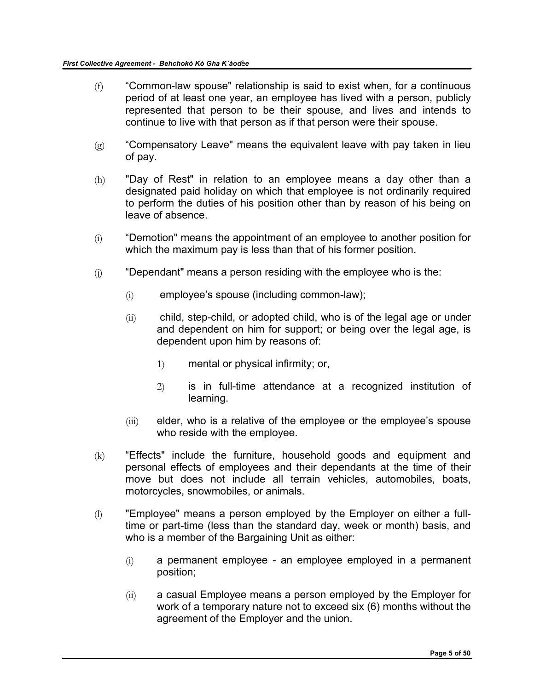- $(f)$  "Common-law spouse" relationship is said to exist when, for a continuous period of at least one year, an employee has lived with a person, publicly represented that person to be their spouse, and lives and intends to continue to live with that person as if that person were their spouse.
- $(g)$  "Compensatory Leave" means the equivalent leave with pay taken in lieu of pay.
- (h) "Day of Rest" in relation to an employee means a day other than a designated paid holiday on which that employee is not ordinarily required to perform the duties of his position other than by reason of his being on leave of absence.
- (i) "Demotion" means the appointment of an employee to another position for which the maximum pay is less than that of his former position.
- $(i)$  "Dependant" means a person residing with the employee who is the:
	- (i) employee's spouse (including common-law);
	- (ii) child, step-child, or adopted child, who is of the legal age or under and dependent on him for support; or being over the legal age, is dependent upon him by reasons of:
		- 1) mental or physical infirmity; or,
		- 2) is in full-time attendance at a recognized institution of learning.
	- (iii) elder, who is a relative of the employee or the employee's spouse who reside with the employee.
- (k) "Effects" include the furniture, household goods and equipment and personal effects of employees and their dependants at the time of their move but does not include all terrain vehicles, automobiles, boats, motorcycles, snowmobiles, or animals.
- (l) "Employee" means a person employed by the Employer on either a fulltime or part-time (less than the standard day, week or month) basis, and who is a member of the Bargaining Unit as either:
	- (i) a permanent employee an employee employed in a permanent position;
	- (ii) a casual Employee means a person employed by the Employer for work of a temporary nature not to exceed six (6) months without the agreement of the Employer and the union.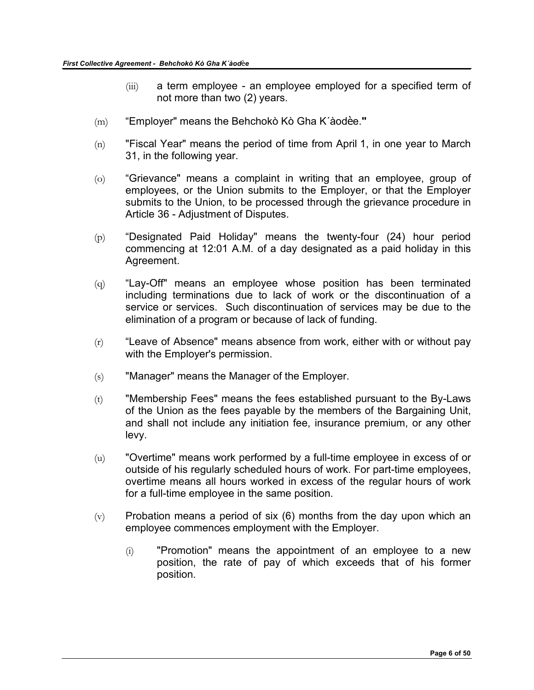- (iii) a term employee an employee employed for a specified term of not more than two (2) years.
- (m) "Employer" means the Behchokò Kò Gha K´àodѐe.**"**
- $(n)$  "Fiscal Year" means the period of time from April 1, in one year to March 31, in the following year.
- (o) "Grievance" means a complaint in writing that an employee, group of employees, or the Union submits to the Employer, or that the Employer submits to the Union, to be processed through the grievance procedure in Article 36 - Adjustment of Disputes.
- (p) "Designated Paid Holiday" means the twenty-four (24) hour period commencing at 12:01 A.M. of a day designated as a paid holiday in this Agreement.
- (q) "Lay-Off" means an employee whose position has been terminated including terminations due to lack of work or the discontinuation of a service or services. Such discontinuation of services may be due to the elimination of a program or because of lack of funding.
- $(r)$  "Leave of Absence" means absence from work, either with or without pay with the Employer's permission.
- (s) "Manager" means the Manager of the Employer.
- (t) "Membership Fees" means the fees established pursuant to the By-Laws of the Union as the fees payable by the members of the Bargaining Unit, and shall not include any initiation fee, insurance premium, or any other levy.
- (u) "Overtime" means work performed by a full-time employee in excess of or outside of his regularly scheduled hours of work. For part-time employees, overtime means all hours worked in excess of the regular hours of work for a full-time employee in the same position.
- $(v)$  Probation means a period of six (6) months from the day upon which an employee commences employment with the Employer.
	- (i) "Promotion" means the appointment of an employee to a new position, the rate of pay of which exceeds that of his former position.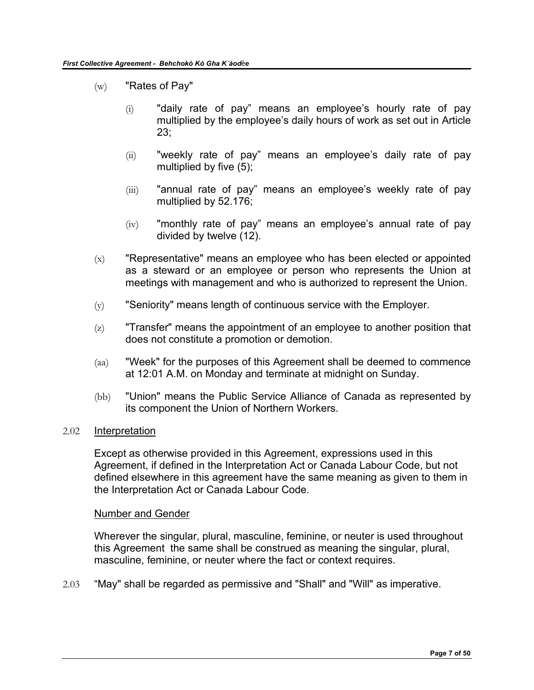- $(w)$  "Rates of Pay"
	- (i) "daily rate of pay" means an employee's hourly rate of pay multiplied by the employee's daily hours of work as set out in Article 23;
	- (ii) "weekly rate of pay" means an employee's daily rate of pay multiplied by five (5);
	- (iii) "annual rate of pay" means an employee's weekly rate of pay multiplied by 52.176;
	- $(iv)$  "monthly rate of pay" means an employee's annual rate of pay divided by twelve (12).
- $(x)$  "Representative" means an employee who has been elected or appointed as a steward or an employee or person who represents the Union at meetings with management and who is authorized to represent the Union.
- $(y)$  "Seniority" means length of continuous service with the Employer.
- $(z)$  "Transfer" means the appointment of an employee to another position that does not constitute a promotion or demotion.
- (aa) "Week" for the purposes of this Agreement shall be deemed to commence at 12:01 A.M. on Monday and terminate at midnight on Sunday.
- (bb) "Union" means the Public Service Alliance of Canada as represented by its component the Union of Northern Workers.

#### 2.02 Interpretation

Except as otherwise provided in this Agreement, expressions used in this Agreement, if defined in the Interpretation Act or Canada Labour Code, but not defined elsewhere in this agreement have the same meaning as given to them in the Interpretation Act or Canada Labour Code.

#### Number and Gender

Wherever the singular, plural, masculine, feminine, or neuter is used throughout this Agreement the same shall be construed as meaning the singular, plural, masculine, feminine, or neuter where the fact or context requires.

2.03 "May" shall be regarded as permissive and "Shall" and "Will" as imperative.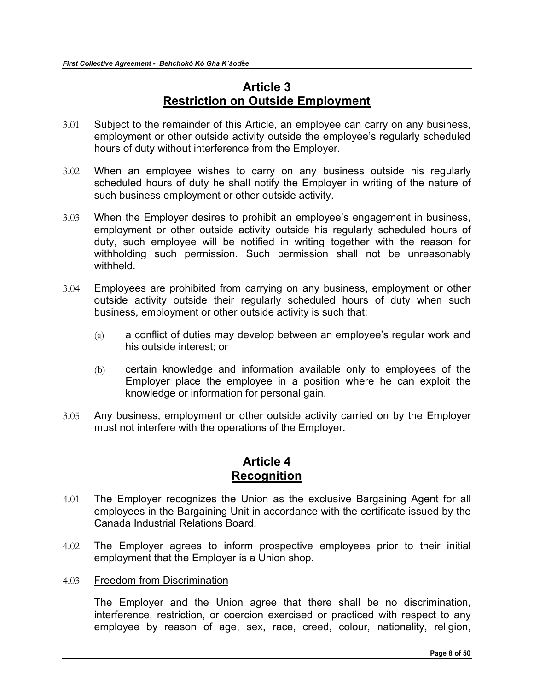## **Article 3 Restriction on Outside Employment**

- <span id="page-7-0"></span>3.01 Subject to the remainder of this Article, an employee can carry on any business, employment or other outside activity outside the employee's regularly scheduled hours of duty without interference from the Employer.
- 3.02 When an employee wishes to carry on any business outside his regularly scheduled hours of duty he shall notify the Employer in writing of the nature of such business employment or other outside activity.
- 3.03 When the Employer desires to prohibit an employee's engagement in business, employment or other outside activity outside his regularly scheduled hours of duty, such employee will be notified in writing together with the reason for withholding such permission. Such permission shall not be unreasonably withheld.
- 3.04 Employees are prohibited from carrying on any business, employment or other outside activity outside their regularly scheduled hours of duty when such business, employment or other outside activity is such that:
	- (a) a conflict of duties may develop between an employee's regular work and his outside interest; or
	- (b) certain knowledge and information available only to employees of the Employer place the employee in a position where he can exploit the knowledge or information for personal gain.
- 3.05 Any business, employment or other outside activity carried on by the Employer must not interfere with the operations of the Employer.

### **Article 4 Recognition**

- <span id="page-7-1"></span>4.01 The Employer recognizes the Union as the exclusive Bargaining Agent for all employees in the Bargaining Unit in accordance with the certificate issued by the Canada Industrial Relations Board.
- 4.02 The Employer agrees to inform prospective employees prior to their initial employment that the Employer is a Union shop.
- 4.03 Freedom from Discrimination

The Employer and the Union agree that there shall be no discrimination, interference, restriction, or coercion exercised or practiced with respect to any employee by reason of age, sex, race, creed, colour, nationality, religion,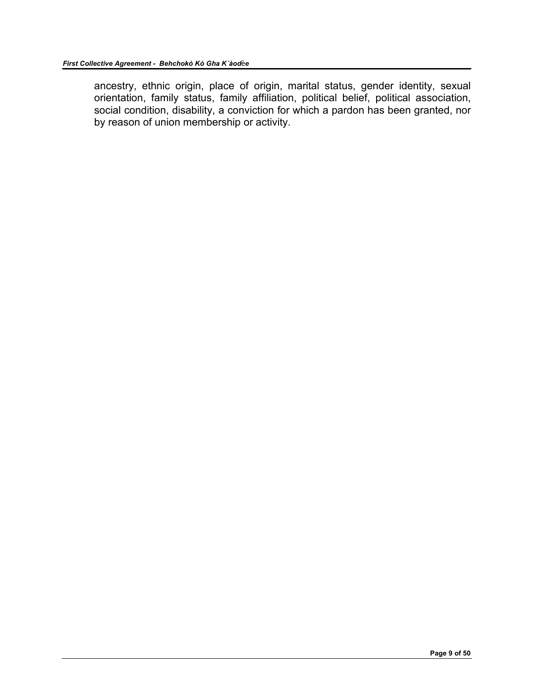ancestry, ethnic origin, place of origin, marital status, gender identity, sexual orientation, family status, family affiliation, political belief, political association, social condition, disability, a conviction for which a pardon has been granted, nor by reason of union membership or activity.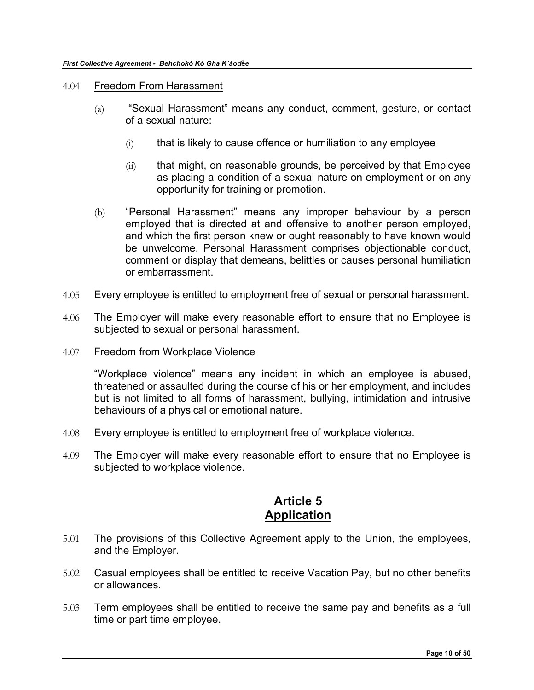- 4.04 Freedom From Harassment
	- (a) "Sexual Harassment" means any conduct, comment, gesture, or contact of a sexual nature:
		- $(i)$  that is likely to cause offence or humiliation to any employee
		- $(iii)$  that might, on reasonable grounds, be perceived by that Employee as placing a condition of a sexual nature on employment or on any opportunity for training or promotion.
	- (b) "Personal Harassment" means any improper behaviour by a person employed that is directed at and offensive to another person employed, and which the first person knew or ought reasonably to have known would be unwelcome. Personal Harassment comprises objectionable conduct, comment or display that demeans, belittles or causes personal humiliation or embarrassment.
- 4.05 Every employee is entitled to employment free of sexual or personal harassment.
- 4.06 The Employer will make every reasonable effort to ensure that no Employee is subjected to sexual or personal harassment.
- 4.07 Freedom from Workplace Violence

"Workplace violence" means any incident in which an employee is abused, threatened or assaulted during the course of his or her employment, and includes but is not limited to all forms of harassment, bullying, intimidation and intrusive behaviours of a physical or emotional nature.

- 4.08 Every employee is entitled to employment free of workplace violence.
- 4.09 The Employer will make every reasonable effort to ensure that no Employee is subjected to workplace violence.

### **Article 5 Application**

- <span id="page-9-0"></span>5.01 The provisions of this Collective Agreement apply to the Union, the employees, and the Employer.
- 5.02 Casual employees shall be entitled to receive Vacation Pay, but no other benefits or allowances.
- 5.03 Term employees shall be entitled to receive the same pay and benefits as a full time or part time employee.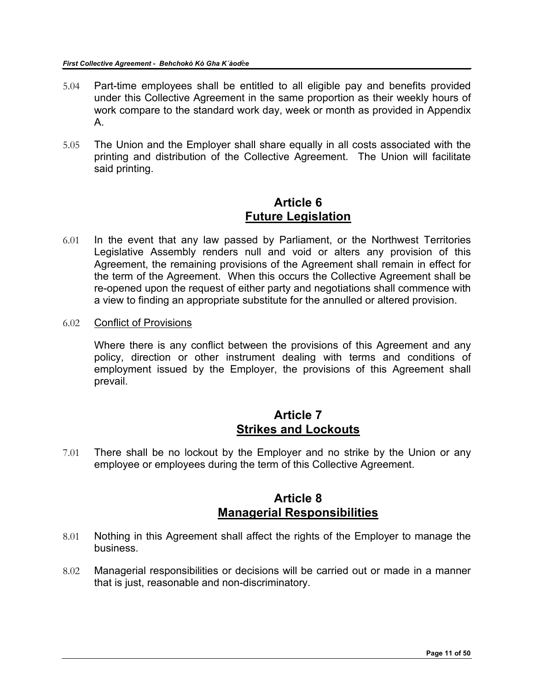- 5.04 Part-time employees shall be entitled to all eligible pay and benefits provided under this Collective Agreement in the same proportion as their weekly hours of work compare to the standard work day, week or month as provided in Appendix A.
- 5.05 The Union and the Employer shall share equally in all costs associated with the printing and distribution of the Collective Agreement. The Union will facilitate said printing.

## **Article 6 Future Legislation**

- <span id="page-10-0"></span>6.01 In the event that any law passed by Parliament, or the Northwest Territories Legislative Assembly renders null and void or alters any provision of this Agreement, the remaining provisions of the Agreement shall remain in effect for the term of the Agreement. When this occurs the Collective Agreement shall be re-opened upon the request of either party and negotiations shall commence with a view to finding an appropriate substitute for the annulled or altered provision.
- 6.02 Conflict of Provisions

Where there is any conflict between the provisions of this Agreement and any policy, direction or other instrument dealing with terms and conditions of employment issued by the Employer, the provisions of this Agreement shall prevail.

### **Article 7 Strikes and Lockouts**

<span id="page-10-1"></span>7.01 There shall be no lockout by the Employer and no strike by the Union or any employee or employees during the term of this Collective Agreement.

# **Article 8 Managerial Responsibilities**

- <span id="page-10-2"></span>8.01 Nothing in this Agreement shall affect the rights of the Employer to manage the business.
- 8.02 Managerial responsibilities or decisions will be carried out or made in a manner that is just, reasonable and non-discriminatory.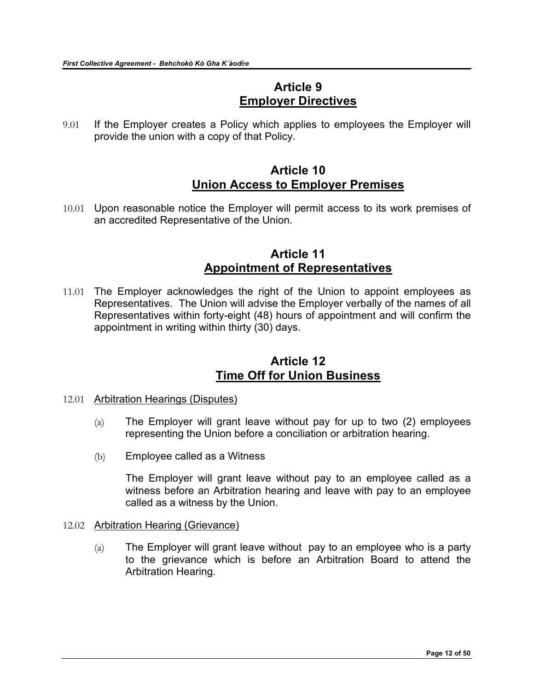### **Article 9 Employer Directives**

<span id="page-11-0"></span>9.01 If the Employer creates a Policy which applies to employees the Employer will provide the union with a copy of that Policy.

## **Article 10 Union Access to Employer Premises**

<span id="page-11-1"></span>10.01 Upon reasonable notice the Employer will permit access to its work premises of an accredited Representative of the Union.

### **Article 11 Appointment of Representatives**

<span id="page-11-2"></span>11.01 The Employer acknowledges the right of the Union to appoint employees as Representatives. The Union will advise the Employer verbally of the names of all Representatives within forty-eight (48) hours of appointment and will confirm the appointment in writing within thirty (30) days.

### **Article 12 Time Off for Union Business**

- <span id="page-11-3"></span>12.01 Arbitration Hearings (Disputes)
	- $(a)$  The Employer will grant leave without pay for up to two (2) employees representing the Union before a conciliation or arbitration hearing.
	- (b) Employee called as a Witness

The Employer will grant leave without pay to an employee called as a witness before an Arbitration hearing and leave with pay to an employee called as a witness by the Union.

#### 12.02 Arbitration Hearing (Grievance)

 $(a)$  The Employer will grant leave without pay to an employee who is a party to the grievance which is before an Arbitration Board to attend the Arbitration Hearing.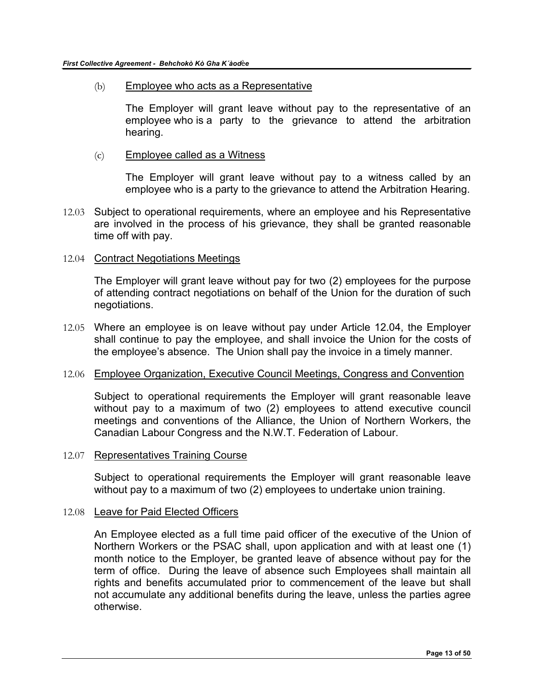(b) Employee who acts as a Representative

The Employer will grant leave without pay to the representative of an employee who is a party to the grievance to attend the arbitration hearing.

(c) Employee called as a Witness

The Employer will grant leave without pay to a witness called by an employee who is a party to the grievance to attend the Arbitration Hearing.

12.03 Subject to operational requirements, where an employee and his Representative are involved in the process of his grievance, they shall be granted reasonable time off with pay.

#### 12.04 Contract Negotiations Meetings

The Employer will grant leave without pay for two (2) employees for the purpose of attending contract negotiations on behalf of the Union for the duration of such negotiations.

12.05 Where an employee is on leave without pay under Article 12.04, the Employer shall continue to pay the employee, and shall invoice the Union for the costs of the employee's absence. The Union shall pay the invoice in a timely manner.

#### 12.06 Employee Organization, Executive Council Meetings, Congress and Convention

Subject to operational requirements the Employer will grant reasonable leave without pay to a maximum of two (2) employees to attend executive council meetings and conventions of the Alliance, the Union of Northern Workers, the Canadian Labour Congress and the N.W.T. Federation of Labour.

#### 12.07 Representatives Training Course

Subject to operational requirements the Employer will grant reasonable leave without pay to a maximum of two (2) employees to undertake union training.

#### 12.08 Leave for Paid Elected Officers

An Employee elected as a full time paid officer of the executive of the Union of Northern Workers or the PSAC shall, upon application and with at least one (1) month notice to the Employer, be granted leave of absence without pay for the term of office. During the leave of absence such Employees shall maintain all rights and benefits accumulated prior to commencement of the leave but shall not accumulate any additional benefits during the leave, unless the parties agree otherwise.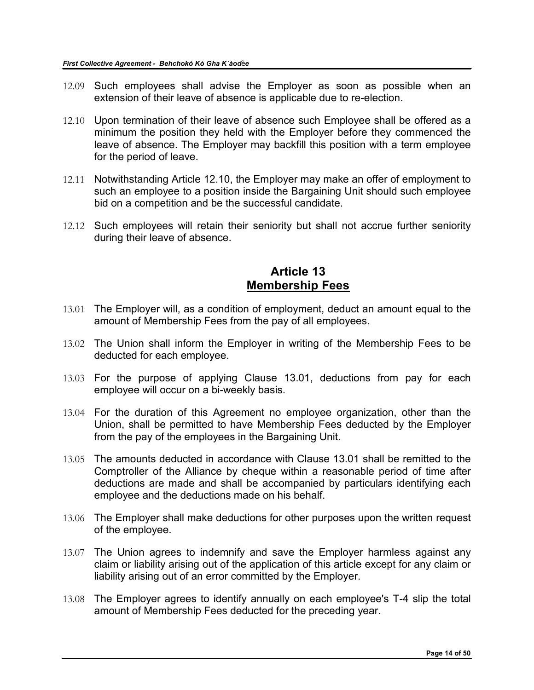- 12.09 Such employees shall advise the Employer as soon as possible when an extension of their leave of absence is applicable due to re-election.
- 12.10 Upon termination of their leave of absence such Employee shall be offered as a minimum the position they held with the Employer before they commenced the leave of absence. The Employer may backfill this position with a term employee for the period of leave.
- 12.11 Notwithstanding Article 12.10, the Employer may make an offer of employment to such an employee to a position inside the Bargaining Unit should such employee bid on a competition and be the successful candidate.
- 12.12 Such employees will retain their seniority but shall not accrue further seniority during their leave of absence.

### **Article 13 Membership Fees**

- <span id="page-13-0"></span>13.01 The Employer will, as a condition of employment, deduct an amount equal to the amount of Membership Fees from the pay of all employees.
- 13.02 The Union shall inform the Employer in writing of the Membership Fees to be deducted for each employee.
- 13.03 For the purpose of applying Clause 13.01, deductions from pay for each employee will occur on a bi-weekly basis.
- 13.04 For the duration of this Agreement no employee organization, other than the Union, shall be permitted to have Membership Fees deducted by the Employer from the pay of the employees in the Bargaining Unit.
- 13.05 The amounts deducted in accordance with Clause 13.01 shall be remitted to the Comptroller of the Alliance by cheque within a reasonable period of time after deductions are made and shall be accompanied by particulars identifying each employee and the deductions made on his behalf.
- 13.06 The Employer shall make deductions for other purposes upon the written request of the employee.
- 13.07 The Union agrees to indemnify and save the Employer harmless against any claim or liability arising out of the application of this article except for any claim or liability arising out of an error committed by the Employer.
- 13.08 The Employer agrees to identify annually on each employee's T-4 slip the total amount of Membership Fees deducted for the preceding year.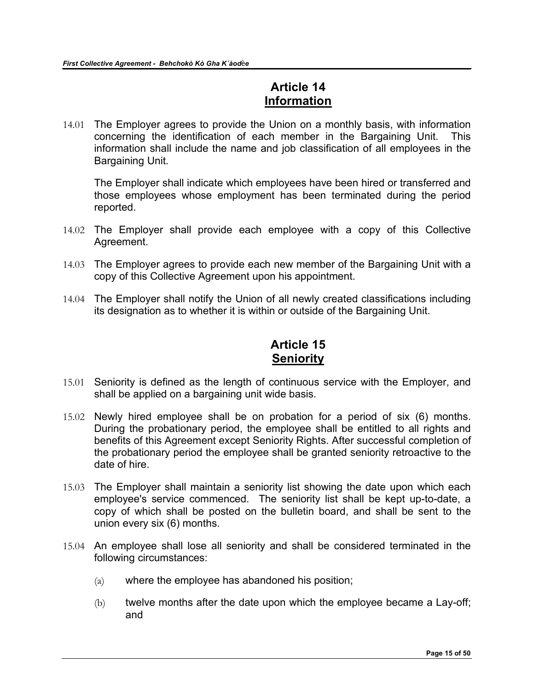# **Article 14 Information**

<span id="page-14-0"></span>14.01 The Employer agrees to provide the Union on a monthly basis, with information concerning the identification of each member in the Bargaining Unit. This information shall include the name and job classification of all employees in the Bargaining Unit.

The Employer shall indicate which employees have been hired or transferred and those employees whose employment has been terminated during the period reported.

- 14.02 The Employer shall provide each employee with a copy of this Collective Agreement.
- 14.03 The Employer agrees to provide each new member of the Bargaining Unit with a copy of this Collective Agreement upon his appointment.
- 14.04 The Employer shall notify the Union of all newly created classifications including its designation as to whether it is within or outside of the Bargaining Unit.

# **Article 15 Seniority**

- <span id="page-14-1"></span>15.01 Seniority is defined as the length of continuous service with the Employer, and shall be applied on a bargaining unit wide basis.
- 15.02 Newly hired employee shall be on probation for a period of six (6) months. During the probationary period, the employee shall be entitled to all rights and benefits of this Agreement except Seniority Rights. After successful completion of the probationary period the employee shall be granted seniority retroactive to the date of hire.
- 15.03 The Employer shall maintain a seniority list showing the date upon which each employee's service commenced. The seniority list shall be kept up-to-date, a copy of which shall be posted on the bulletin board, and shall be sent to the union every six (6) months.
- 15.04 An employee shall lose all seniority and shall be considered terminated in the following circumstances:
	- (a) where the employee has abandoned his position;
	- (b) twelve months after the date upon which the employee became a Lay-off; and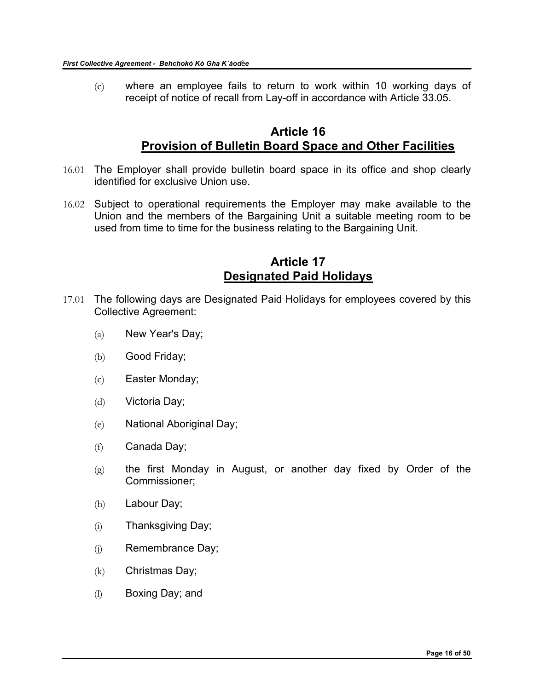(c) where an employee fails to return to work within 10 working days of receipt of notice of recall from Lay-off in accordance with Article 33.05.

### **Article 16 Provision of Bulletin Board Space and Other Facilities**

- <span id="page-15-0"></span>16.01 The Employer shall provide bulletin board space in its office and shop clearly identified for exclusive Union use.
- 16.02 Subject to operational requirements the Employer may make available to the Union and the members of the Bargaining Unit a suitable meeting room to be used from time to time for the business relating to the Bargaining Unit.

### **Article 17 Designated Paid Holidays**

- <span id="page-15-1"></span>17.01 The following days are Designated Paid Holidays for employees covered by this Collective Agreement:
	- (a) New Year's Day;
	- (b) Good Friday;
	- (c) Easter Monday;
	- (d) Victoria Day;
	- (e) National Aboriginal Day;
	- (f) Canada Day;
	- $(g)$  the first Monday in August, or another day fixed by Order of the Commissioner;
	- (h) Labour Day;
	- (i) Thanksgiving Day;
	- (j) Remembrance Day;
	- (k) Christmas Day;
	- (l) Boxing Day; and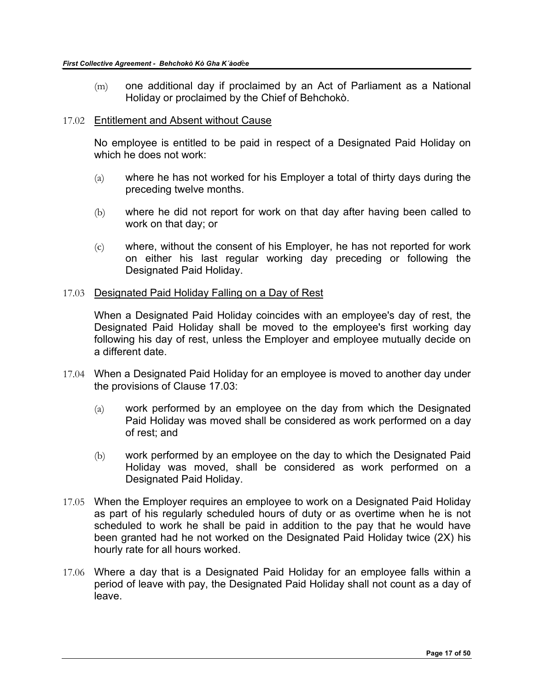(m) one additional day if proclaimed by an Act of Parliament as a National Holiday or proclaimed by the Chief of Behchokò.

#### 17.02 Entitlement and Absent without Cause

No employee is entitled to be paid in respect of a Designated Paid Holiday on which he does not work:

- (a) where he has not worked for his Employer a total of thirty days during the preceding twelve months.
- (b) where he did not report for work on that day after having been called to work on that day; or
- (c) where, without the consent of his Employer, he has not reported for work on either his last regular working day preceding or following the Designated Paid Holiday.

#### 17.03 Designated Paid Holiday Falling on a Day of Rest

When a Designated Paid Holiday coincides with an employee's day of rest, the Designated Paid Holiday shall be moved to the employee's first working day following his day of rest, unless the Employer and employee mutually decide on a different date.

- 17.04 When a Designated Paid Holiday for an employee is moved to another day under the provisions of Clause 17.03:
	- (a) work performed by an employee on the day from which the Designated Paid Holiday was moved shall be considered as work performed on a day of rest; and
	- (b) work performed by an employee on the day to which the Designated Paid Holiday was moved, shall be considered as work performed on a Designated Paid Holiday.
- 17.05 When the Employer requires an employee to work on a Designated Paid Holiday as part of his regularly scheduled hours of duty or as overtime when he is not scheduled to work he shall be paid in addition to the pay that he would have been granted had he not worked on the Designated Paid Holiday twice (2X) his hourly rate for all hours worked.
- 17.06 Where a day that is a Designated Paid Holiday for an employee falls within a period of leave with pay, the Designated Paid Holiday shall not count as a day of leave.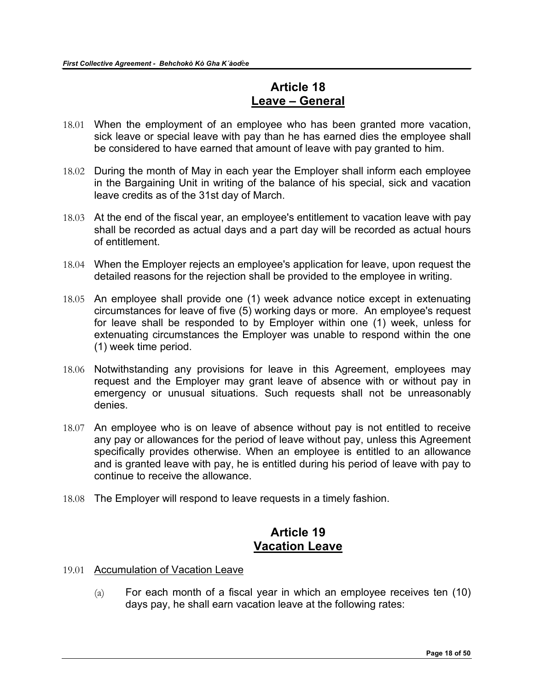## **Article 18 Leave – General**

- <span id="page-17-0"></span>18.01 When the employment of an employee who has been granted more vacation, sick leave or special leave with pay than he has earned dies the employee shall be considered to have earned that amount of leave with pay granted to him.
- 18.02 During the month of May in each year the Employer shall inform each employee in the Bargaining Unit in writing of the balance of his special, sick and vacation leave credits as of the 31st day of March.
- 18.03 At the end of the fiscal year, an employee's entitlement to vacation leave with pay shall be recorded as actual days and a part day will be recorded as actual hours of entitlement.
- 18.04 When the Employer rejects an employee's application for leave, upon request the detailed reasons for the rejection shall be provided to the employee in writing.
- 18.05 An employee shall provide one (1) week advance notice except in extenuating circumstances for leave of five (5) working days or more. An employee's request for leave shall be responded to by Employer within one (1) week, unless for extenuating circumstances the Employer was unable to respond within the one (1) week time period.
- 18.06 Notwithstanding any provisions for leave in this Agreement, employees may request and the Employer may grant leave of absence with or without pay in emergency or unusual situations. Such requests shall not be unreasonably denies.
- 18.07 An employee who is on leave of absence without pay is not entitled to receive any pay or allowances for the period of leave without pay, unless this Agreement specifically provides otherwise. When an employee is entitled to an allowance and is granted leave with pay, he is entitled during his period of leave with pay to continue to receive the allowance.
- 18.08 The Employer will respond to leave requests in a timely fashion.

### **Article 19 Vacation Leave**

- <span id="page-17-1"></span>19.01 Accumulation of Vacation Leave
	- (a) For each month of a fiscal year in which an employee receives ten (10) days pay, he shall earn vacation leave at the following rates: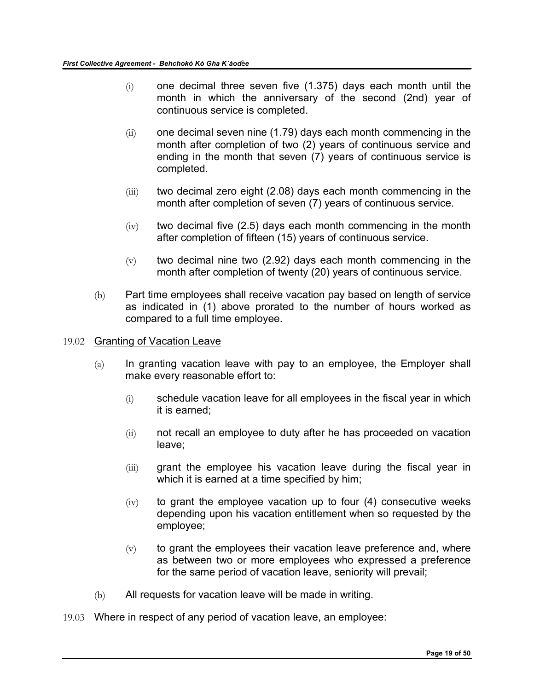- $(i)$  one decimal three seven five  $(1.375)$  days each month until the month in which the anniversary of the second (2nd) year of continuous service is completed.
- $(iii)$  one decimal seven nine (1.79) days each month commencing in the month after completion of two (2) years of continuous service and ending in the month that seven (7) years of continuous service is completed.
- $(iii)$  two decimal zero eight  $(2.08)$  days each month commencing in the month after completion of seven (7) years of continuous service.
- $(iv)$  two decimal five (2.5) days each month commencing in the month after completion of fifteen (15) years of continuous service.
- $(v)$  two decimal nine two (2.92) days each month commencing in the month after completion of twenty (20) years of continuous service.
- (b) Part time employees shall receive vacation pay based on length of service as indicated in (1) above prorated to the number of hours worked as compared to a full time employee.
- 19.02 Granting of Vacation Leave
	- $(a)$  In granting vacation leave with pay to an employee, the Employer shall make every reasonable effort to:
		- (i) schedule vacation leave for all employees in the fiscal year in which it is earned;
		- (ii) not recall an employee to duty after he has proceeded on vacation leave;
		- (iii) grant the employee his vacation leave during the fiscal year in which it is earned at a time specified by him;
		- $(iv)$  to grant the employee vacation up to four  $(4)$  consecutive weeks depending upon his vacation entitlement when so requested by the employee;
		- $(v)$  to grant the employees their vacation leave preference and, where as between two or more employees who expressed a preference for the same period of vacation leave, seniority will prevail;
	- (b) All requests for vacation leave will be made in writing.
- 19.03 Where in respect of any period of vacation leave, an employee: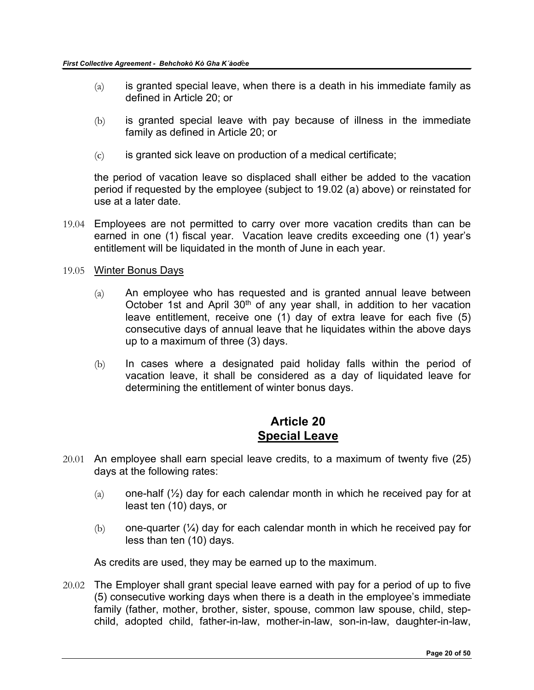- $(a)$  is granted special leave, when there is a death in his immediate family as defined in Article 20; or
- (b) is granted special leave with pay because of illness in the immediate family as defined in Article 20; or
- $(c)$  is granted sick leave on production of a medical certificate;

the period of vacation leave so displaced shall either be added to the vacation period if requested by the employee (subject to 19.02 (a) above) or reinstated for use at a later date.

- 19.04 Employees are not permitted to carry over more vacation credits than can be earned in one (1) fiscal year. Vacation leave credits exceeding one (1) year's entitlement will be liquidated in the month of June in each year.
- 19.05 Winter Bonus Days
	- $(a)$  An employee who has requested and is granted annual leave between October 1st and April  $30<sup>th</sup>$  of any year shall, in addition to her vacation leave entitlement, receive one (1) day of extra leave for each five (5) consecutive days of annual leave that he liquidates within the above days up to a maximum of three (3) days.
	- (b) In cases where a designated paid holiday falls within the period of vacation leave, it shall be considered as a day of liquidated leave for determining the entitlement of winter bonus days.

### **Article 20 Special Leave**

- <span id="page-19-0"></span>20.01 An employee shall earn special leave credits, to a maximum of twenty five (25) days at the following rates:
	- $(a)$  one-half  $(\frac{1}{2})$  day for each calendar month in which he received pay for at least ten (10) days, or
	- $(b)$  one-quarter  $(\frac{1}{4})$  day for each calendar month in which he received pay for less than ten (10) days.

As credits are used, they may be earned up to the maximum.

20.02 The Employer shall grant special leave earned with pay for a period of up to five (5) consecutive working days when there is a death in the employee's immediate family (father, mother, brother, sister, spouse, common law spouse, child, stepchild, adopted child, father-in-law, mother-in-law, son-in-law, daughter-in-law,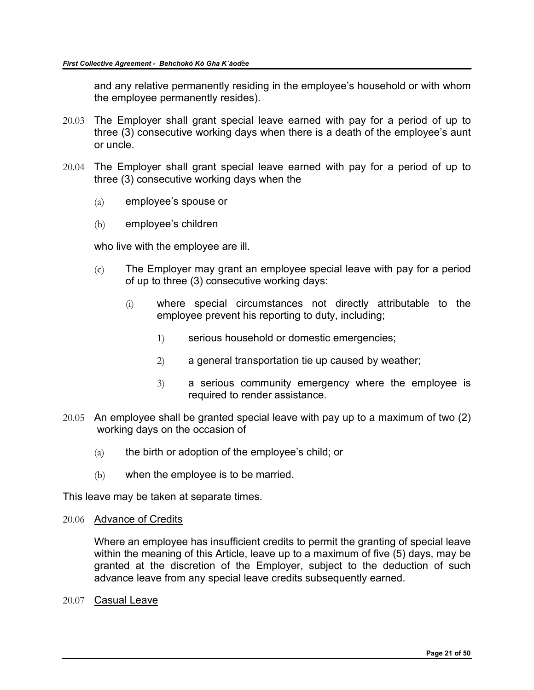and any relative permanently residing in the employee's household or with whom the employee permanently resides).

- 20.03 The Employer shall grant special leave earned with pay for a period of up to three (3) consecutive working days when there is a death of the employee's aunt or uncle.
- 20.04 The Employer shall grant special leave earned with pay for a period of up to three (3) consecutive working days when the
	- (a) employee's spouse or
	- (b) employee's children

who live with the employee are ill.

- (c) The Employer may grant an employee special leave with pay for a period of up to three (3) consecutive working days:
	- (i) where special circumstances not directly attributable to the employee prevent his reporting to duty, including;
		- 1) serious household or domestic emergencies;
		- 2) a general transportation tie up caused by weather;
		- 3) a serious community emergency where the employee is required to render assistance.
- 20.05 An employee shall be granted special leave with pay up to a maximum of two (2) working days on the occasion of
	- $(a)$  the birth or adoption of the employee's child; or
	- (b) when the employee is to be married.

This leave may be taken at separate times.

20.06 Advance of Credits

Where an employee has insufficient credits to permit the granting of special leave within the meaning of this Article, leave up to a maximum of five (5) days, may be granted at the discretion of the Employer, subject to the deduction of such advance leave from any special leave credits subsequently earned.

20.07 Casual Leave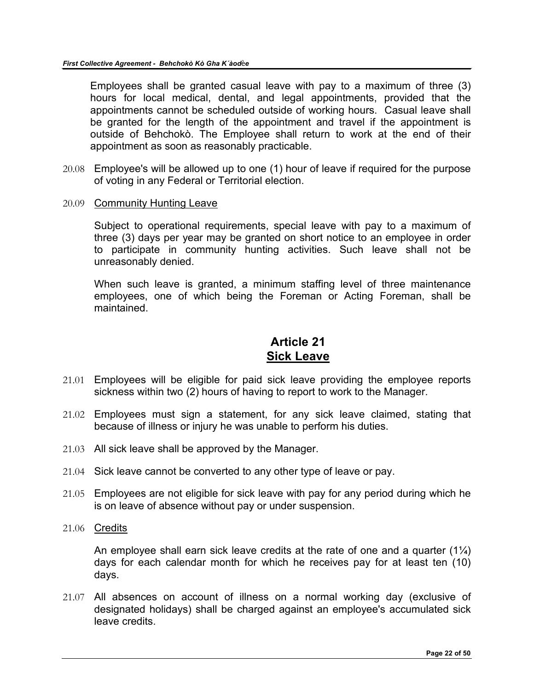Employees shall be granted casual leave with pay to a maximum of three (3) hours for local medical, dental, and legal appointments, provided that the appointments cannot be scheduled outside of working hours. Casual leave shall be granted for the length of the appointment and travel if the appointment is outside of Behchokò. The Employee shall return to work at the end of their appointment as soon as reasonably practicable.

- 20.08 Employee's will be allowed up to one (1) hour of leave if required for the purpose of voting in any Federal or Territorial election.
- 20.09 Community Hunting Leave

Subject to operational requirements, special leave with pay to a maximum of three (3) days per year may be granted on short notice to an employee in order to participate in community hunting activities. Such leave shall not be unreasonably denied.

When such leave is granted, a minimum staffing level of three maintenance employees, one of which being the Foreman or Acting Foreman, shall be maintained.

### **Article 21 Sick Leave**

- <span id="page-21-0"></span>21.01 Employees will be eligible for paid sick leave providing the employee reports sickness within two (2) hours of having to report to work to the Manager.
- 21.02 Employees must sign a statement, for any sick leave claimed, stating that because of illness or injury he was unable to perform his duties.
- 21.03 All sick leave shall be approved by the Manager.
- 21.04 Sick leave cannot be converted to any other type of leave or pay.
- 21.05 Employees are not eligible for sick leave with pay for any period during which he is on leave of absence without pay or under suspension.
- 21.06 Credits

An employee shall earn sick leave credits at the rate of one and a quarter  $(1\frac{1}{4})$ days for each calendar month for which he receives pay for at least ten (10) days.

21.07 All absences on account of illness on a normal working day (exclusive of designated holidays) shall be charged against an employee's accumulated sick leave credits.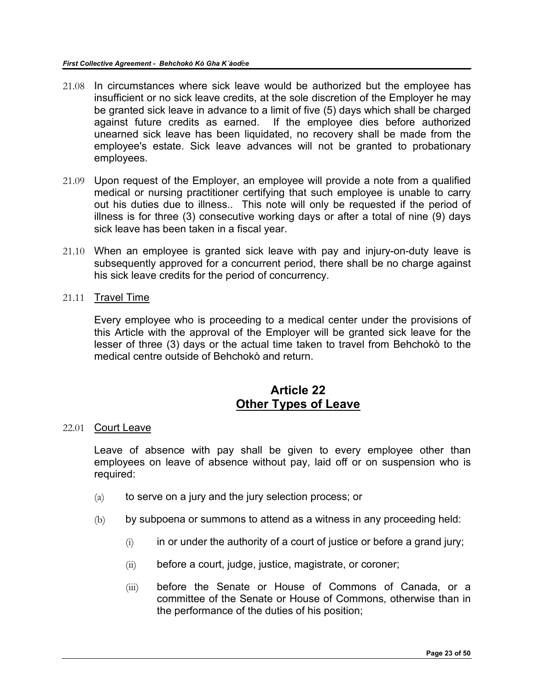- 21.08 In circumstances where sick leave would be authorized but the employee has insufficient or no sick leave credits, at the sole discretion of the Employer he may be granted sick leave in advance to a limit of five (5) days which shall be charged against future credits as earned. If the employee dies before authorized unearned sick leave has been liquidated, no recovery shall be made from the employee's estate. Sick leave advances will not be granted to probationary employees.
- 21.09 Upon request of the Employer, an employee will provide a note from a qualified medical or nursing practitioner certifying that such employee is unable to carry out his duties due to illness.. This note will only be requested if the period of illness is for three (3) consecutive working days or after a total of nine (9) days sick leave has been taken in a fiscal year.
- 21.10 When an employee is granted sick leave with pay and injury-on-duty leave is subsequently approved for a concurrent period, there shall be no charge against his sick leave credits for the period of concurrency.
- 21.11 Travel Time

Every employee who is proceeding to a medical center under the provisions of this Article with the approval of the Employer will be granted sick leave for the lesser of three (3) days or the actual time taken to travel from Behchokò to the medical centre outside of Behchokò and return.

# **Article 22 Other Types of Leave**

#### <span id="page-22-0"></span>22.01 Court Leave

Leave of absence with pay shall be given to every employee other than employees on leave of absence without pay, laid off or on suspension who is required:

- $(a)$  to serve on a jury and the jury selection process; or
- (b) by subpoena or summons to attend as a witness in any proceeding held:
	- $(i)$  in or under the authority of a court of justice or before a grand jury;
	- (ii) before a court, judge, justice, magistrate, or coroner;
	- (iii) before the Senate or House of Commons of Canada, or a committee of the Senate or House of Commons, otherwise than in the performance of the duties of his position;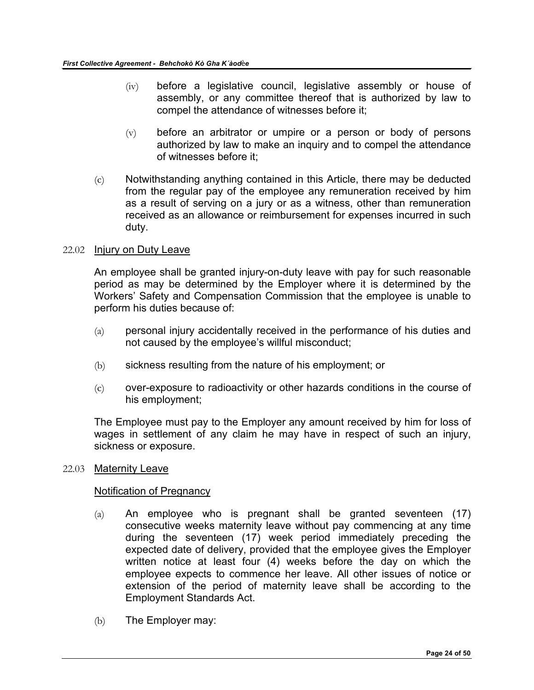- (iv) before a legislative council, legislative assembly or house of assembly, or any committee thereof that is authorized by law to compel the attendance of witnesses before it;
- $(v)$  before an arbitrator or umpire or a person or body of persons authorized by law to make an inquiry and to compel the attendance of witnesses before it;
- (c) Notwithstanding anything contained in this Article, there may be deducted from the regular pay of the employee any remuneration received by him as a result of serving on a jury or as a witness, other than remuneration received as an allowance or reimbursement for expenses incurred in such duty.

#### 22.02 Injury on Duty Leave

An employee shall be granted injury-on-duty leave with pay for such reasonable period as may be determined by the Employer where it is determined by the Workers' Safety and Compensation Commission that the employee is unable to perform his duties because of:

- (a) personal injury accidentally received in the performance of his duties and not caused by the employee's willful misconduct;
- (b) sickness resulting from the nature of his employment; or
- (c) over-exposure to radioactivity or other hazards conditions in the course of his employment;

The Employee must pay to the Employer any amount received by him for loss of wages in settlement of any claim he may have in respect of such an injury, sickness or exposure.

#### 22.03 Maternity Leave

#### Notification of Pregnancy

- (a) An employee who is pregnant shall be granted seventeen (17) consecutive weeks maternity leave without pay commencing at any time during the seventeen (17) week period immediately preceding the expected date of delivery, provided that the employee gives the Employer written notice at least four (4) weeks before the day on which the employee expects to commence her leave. All other issues of notice or extension of the period of maternity leave shall be according to the Employment Standards Act.
- (b) The Employer may: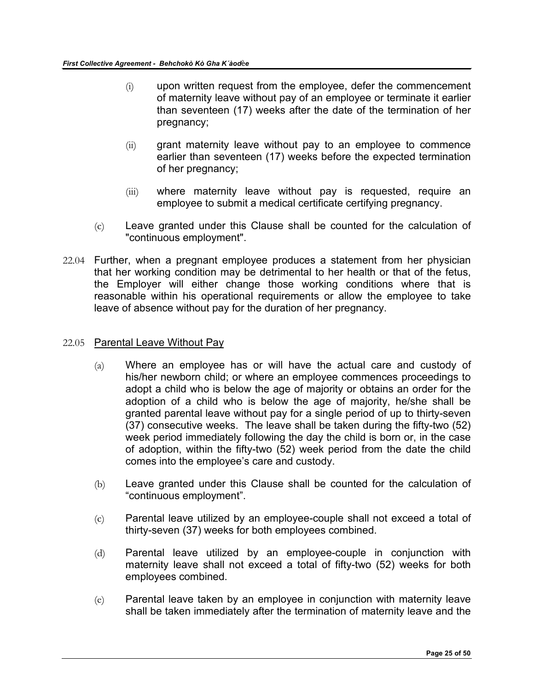- (i) upon written request from the employee, defer the commencement of maternity leave without pay of an employee or terminate it earlier than seventeen (17) weeks after the date of the termination of her pregnancy;
- (ii) grant maternity leave without pay to an employee to commence earlier than seventeen (17) weeks before the expected termination of her pregnancy;
- (iii) where maternity leave without pay is requested, require an employee to submit a medical certificate certifying pregnancy.
- (c) Leave granted under this Clause shall be counted for the calculation of "continuous employment".
- 22.04 Further, when a pregnant employee produces a statement from her physician that her working condition may be detrimental to her health or that of the fetus, the Employer will either change those working conditions where that is reasonable within his operational requirements or allow the employee to take leave of absence without pay for the duration of her pregnancy.

#### 22.05 Parental Leave Without Pay

- $(a)$  Where an employee has or will have the actual care and custody of his/her newborn child; or where an employee commences proceedings to adopt a child who is below the age of majority or obtains an order for the adoption of a child who is below the age of majority, he/she shall be granted parental leave without pay for a single period of up to thirty-seven (37) consecutive weeks. The leave shall be taken during the fifty-two (52) week period immediately following the day the child is born or, in the case of adoption, within the fifty-two (52) week period from the date the child comes into the employee's care and custody.
- (b) Leave granted under this Clause shall be counted for the calculation of "continuous employment".
- (c) Parental leave utilized by an employee-couple shall not exceed a total of thirty-seven (37) weeks for both employees combined.
- (d) Parental leave utilized by an employee-couple in conjunction with maternity leave shall not exceed a total of fifty-two (52) weeks for both employees combined.
- (e) Parental leave taken by an employee in conjunction with maternity leave shall be taken immediately after the termination of maternity leave and the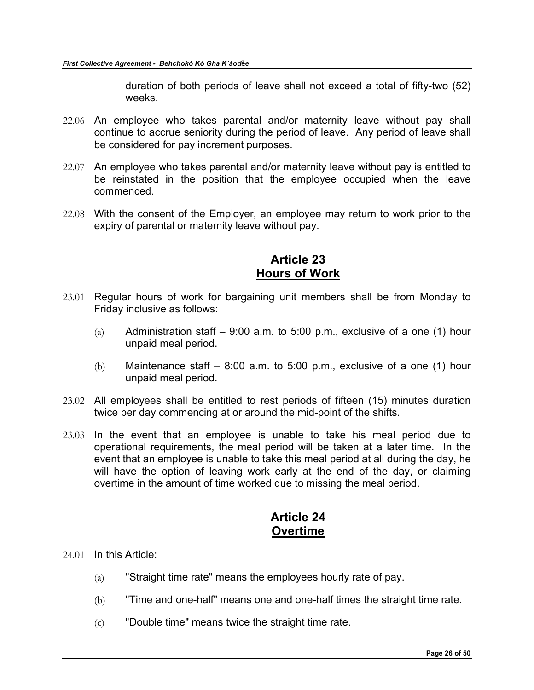duration of both periods of leave shall not exceed a total of fifty-two (52) weeks.

- 22.06 An employee who takes parental and/or maternity leave without pay shall continue to accrue seniority during the period of leave. Any period of leave shall be considered for pay increment purposes.
- 22.07 An employee who takes parental and/or maternity leave without pay is entitled to be reinstated in the position that the employee occupied when the leave commenced.
- 22.08 With the consent of the Employer, an employee may return to work prior to the expiry of parental or maternity leave without pay.

### **Article 23 Hours of Work**

- <span id="page-25-0"></span>23.01 Regular hours of work for bargaining unit members shall be from Monday to Friday inclusive as follows:
	- (a) Administration staff  $-9:00$  a.m. to 5:00 p.m., exclusive of a one (1) hour unpaid meal period.
	- (b) Maintenance staff  $-$  8:00 a.m. to 5:00 p.m., exclusive of a one (1) hour unpaid meal period.
- 23.02 All employees shall be entitled to rest periods of fifteen (15) minutes duration twice per day commencing at or around the mid-point of the shifts.
- 23.03 In the event that an employee is unable to take his meal period due to operational requirements, the meal period will be taken at a later time. In the event that an employee is unable to take this meal period at all during the day, he will have the option of leaving work early at the end of the day, or claiming overtime in the amount of time worked due to missing the meal period.

# **Article 24 Overtime**

- <span id="page-25-1"></span>24.01 In this Article:
	- (a) "Straight time rate" means the employees hourly rate of pay.
	- (b) "Time and one-half" means one and one-half times the straight time rate.
	- (c) "Double time" means twice the straight time rate.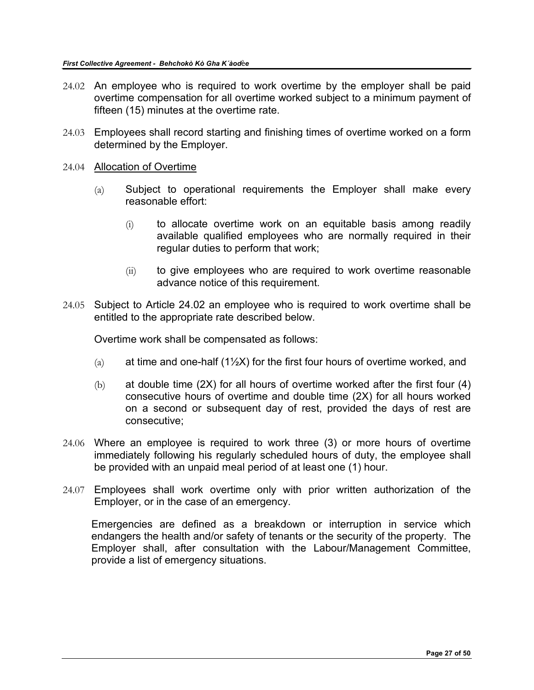- 24.02 An employee who is required to work overtime by the employer shall be paid overtime compensation for all overtime worked subject to a minimum payment of fifteen (15) minutes at the overtime rate.
- 24.03 Employees shall record starting and finishing times of overtime worked on a form determined by the Employer.
- 24.04 Allocation of Overtime
	- (a) Subject to operational requirements the Employer shall make every reasonable effort:
		- (i) to allocate overtime work on an equitable basis among readily available qualified employees who are normally required in their regular duties to perform that work;
		- (ii) to give employees who are required to work overtime reasonable advance notice of this requirement.
- 24.05 Subject to Article 24.02 an employee who is required to work overtime shall be entitled to the appropriate rate described below.

Overtime work shall be compensated as follows:

- (a) at time and one-half (1 $\frac{1}{2}$ X) for the first four hours of overtime worked, and
- (b) at double time  $(2X)$  for all hours of overtime worked after the first four  $(4)$ consecutive hours of overtime and double time (2X) for all hours worked on a second or subsequent day of rest, provided the days of rest are consecutive;
- 24.06 Where an employee is required to work three (3) or more hours of overtime immediately following his regularly scheduled hours of duty, the employee shall be provided with an unpaid meal period of at least one (1) hour.
- 24.07 Employees shall work overtime only with prior written authorization of the Employer, or in the case of an emergency.

Emergencies are defined as a breakdown or interruption in service which endangers the health and/or safety of tenants or the security of the property. The Employer shall, after consultation with the Labour/Management Committee, provide a list of emergency situations.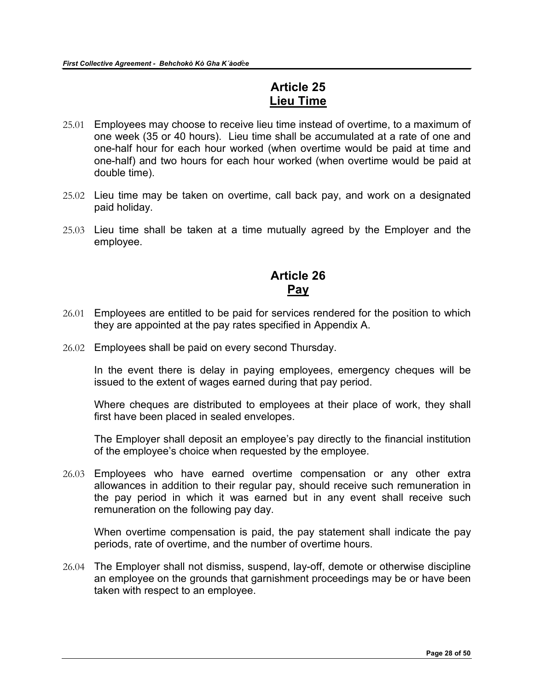## **Article 25 Lieu Time**

- <span id="page-27-0"></span>25.01 Employees may choose to receive lieu time instead of overtime, to a maximum of one week (35 or 40 hours). Lieu time shall be accumulated at a rate of one and one-half hour for each hour worked (when overtime would be paid at time and one-half) and two hours for each hour worked (when overtime would be paid at double time).
- 25.02 Lieu time may be taken on overtime, call back pay, and work on a designated paid holiday.
- 25.03 Lieu time shall be taken at a time mutually agreed by the Employer and the employee.

## **Article 26 Pay**

- <span id="page-27-1"></span>26.01 Employees are entitled to be paid for services rendered for the position to which they are appointed at the pay rates specified in Appendix A.
- 26.02 Employees shall be paid on every second Thursday.

In the event there is delay in paying employees, emergency cheques will be issued to the extent of wages earned during that pay period.

Where cheques are distributed to employees at their place of work, they shall first have been placed in sealed envelopes.

The Employer shall deposit an employee's pay directly to the financial institution of the employee's choice when requested by the employee.

26.03 Employees who have earned overtime compensation or any other extra allowances in addition to their regular pay, should receive such remuneration in the pay period in which it was earned but in any event shall receive such remuneration on the following pay day.

When overtime compensation is paid, the pay statement shall indicate the pay periods, rate of overtime, and the number of overtime hours.

26.04 The Employer shall not dismiss, suspend, lay-off, demote or otherwise discipline an employee on the grounds that garnishment proceedings may be or have been taken with respect to an employee.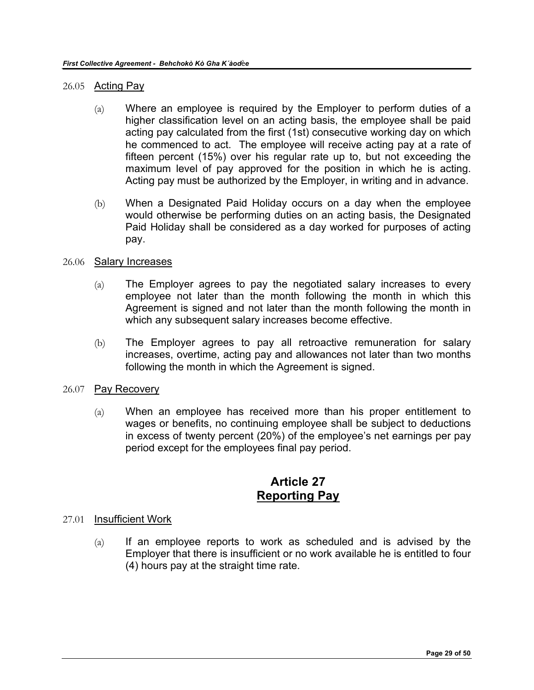#### 26.05 Acting Pay

- (a) Where an employee is required by the Employer to perform duties of a higher classification level on an acting basis, the employee shall be paid acting pay calculated from the first (1st) consecutive working day on which he commenced to act. The employee will receive acting pay at a rate of fifteen percent (15%) over his regular rate up to, but not exceeding the maximum level of pay approved for the position in which he is acting. Acting pay must be authorized by the Employer, in writing and in advance.
- (b) When a Designated Paid Holiday occurs on a day when the employee would otherwise be performing duties on an acting basis, the Designated Paid Holiday shall be considered as a day worked for purposes of acting pay.

#### 26.06 Salary Increases

- (a) The Employer agrees to pay the negotiated salary increases to every employee not later than the month following the month in which this Agreement is signed and not later than the month following the month in which any subsequent salary increases become effective.
- (b) The Employer agrees to pay all retroactive remuneration for salary increases, overtime, acting pay and allowances not later than two months following the month in which the Agreement is signed.

#### 26.07 Pay Recovery

(a) When an employee has received more than his proper entitlement to wages or benefits, no continuing employee shall be subject to deductions in excess of twenty percent (20%) of the employee's net earnings per pay period except for the employees final pay period.

### **Article 27 Reporting Pay**

#### <span id="page-28-0"></span>27.01 Insufficient Work

 $(a)$  If an employee reports to work as scheduled and is advised by the Employer that there is insufficient or no work available he is entitled to four (4) hours pay at the straight time rate.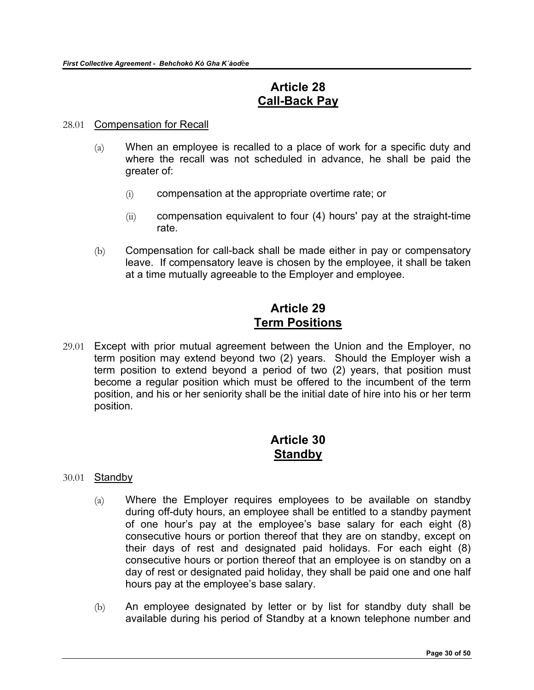## **Article 28 Call-Back Pay**

#### <span id="page-29-0"></span>28.01 Compensation for Recall

- (a) When an employee is recalled to a place of work for a specific duty and where the recall was not scheduled in advance, he shall be paid the greater of:
	- (i) compensation at the appropriate overtime rate; or
	- $(iii)$  compensation equivalent to four  $(4)$  hours' pay at the straight-time rate.
- (b) Compensation for call-back shall be made either in pay or compensatory leave. If compensatory leave is chosen by the employee, it shall be taken at a time mutually agreeable to the Employer and employee.

## **Article 29 Term Positions**

<span id="page-29-1"></span>29.01 Except with prior mutual agreement between the Union and the Employer, no term position may extend beyond two (2) years. Should the Employer wish a term position to extend beyond a period of two (2) years, that position must become a regular position which must be offered to the incumbent of the term position, and his or her seniority shall be the initial date of hire into his or her term position.

### **Article 30 Standby**

- <span id="page-29-2"></span>30.01 Standby
	- (a) Where the Employer requires employees to be available on standby during off-duty hours, an employee shall be entitled to a standby payment of one hour's pay at the employee's base salary for each eight (8) consecutive hours or portion thereof that they are on standby, except on their days of rest and designated paid holidays. For each eight (8) consecutive hours or portion thereof that an employee is on standby on a day of rest or designated paid holiday, they shall be paid one and one half hours pay at the employee's base salary.
	- (b) An employee designated by letter or by list for standby duty shall be available during his period of Standby at a known telephone number and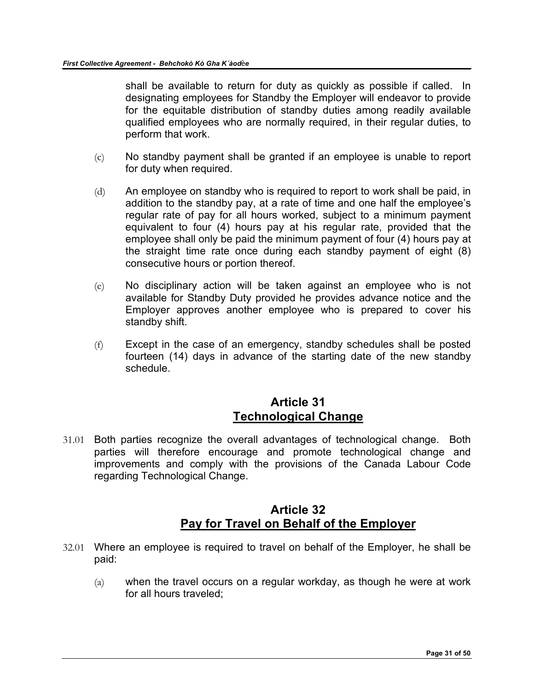shall be available to return for duty as quickly as possible if called. In designating employees for Standby the Employer will endeavor to provide for the equitable distribution of standby duties among readily available qualified employees who are normally required, in their regular duties, to perform that work.

- (c) No standby payment shall be granted if an employee is unable to report for duty when required.
- (d) An employee on standby who is required to report to work shall be paid, in addition to the standby pay, at a rate of time and one half the employee's regular rate of pay for all hours worked, subject to a minimum payment equivalent to four (4) hours pay at his regular rate, provided that the employee shall only be paid the minimum payment of four (4) hours pay at the straight time rate once during each standby payment of eight (8) consecutive hours or portion thereof.
- (e) No disciplinary action will be taken against an employee who is not available for Standby Duty provided he provides advance notice and the Employer approves another employee who is prepared to cover his standby shift.
- (f) Except in the case of an emergency, standby schedules shall be posted fourteen (14) days in advance of the starting date of the new standby schedule.

### **Article 31 Technological Change**

<span id="page-30-0"></span>31.01 Both parties recognize the overall advantages of technological change. Both parties will therefore encourage and promote technological change and improvements and comply with the provisions of the Canada Labour Code regarding Technological Change.

# **Article 32 Pay for Travel on Behalf of the Employer**

- <span id="page-30-1"></span>32.01 Where an employee is required to travel on behalf of the Employer, he shall be paid:
	- (a) when the travel occurs on a regular workday, as though he were at work for all hours traveled;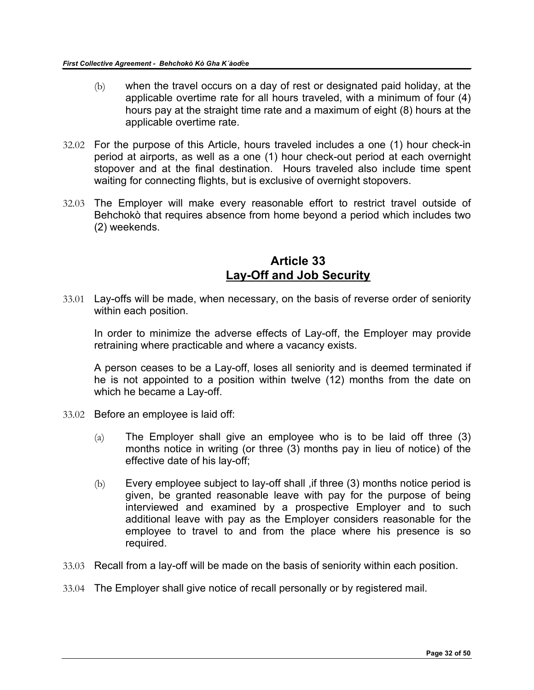- (b) when the travel occurs on a day of rest or designated paid holiday, at the applicable overtime rate for all hours traveled, with a minimum of four (4) hours pay at the straight time rate and a maximum of eight (8) hours at the applicable overtime rate.
- 32.02 For the purpose of this Article, hours traveled includes a one (1) hour check-in period at airports, as well as a one (1) hour check-out period at each overnight stopover and at the final destination. Hours traveled also include time spent waiting for connecting flights, but is exclusive of overnight stopovers.
- 32.03 The Employer will make every reasonable effort to restrict travel outside of Behchokò that requires absence from home beyond a period which includes two (2) weekends.

### **Article 33 Lay-Off and Job Security**

<span id="page-31-0"></span>33.01 Lay-offs will be made, when necessary, on the basis of reverse order of seniority within each position.

In order to minimize the adverse effects of Lay-off, the Employer may provide retraining where practicable and where a vacancy exists.

A person ceases to be a Lay-off, loses all seniority and is deemed terminated if he is not appointed to a position within twelve (12) months from the date on which he became a Lay-off.

- 33.02 Before an employee is laid off:
	- $(a)$  The Employer shall give an employee who is to be laid off three  $(3)$ months notice in writing (or three (3) months pay in lieu of notice) of the effective date of his lay-off;
	- (b) Every employee subject to lay-off shall ,if three (3) months notice period is given, be granted reasonable leave with pay for the purpose of being interviewed and examined by a prospective Employer and to such additional leave with pay as the Employer considers reasonable for the employee to travel to and from the place where his presence is so required.
- 33.03 Recall from a lay-off will be made on the basis of seniority within each position.
- 33.04 The Employer shall give notice of recall personally or by registered mail.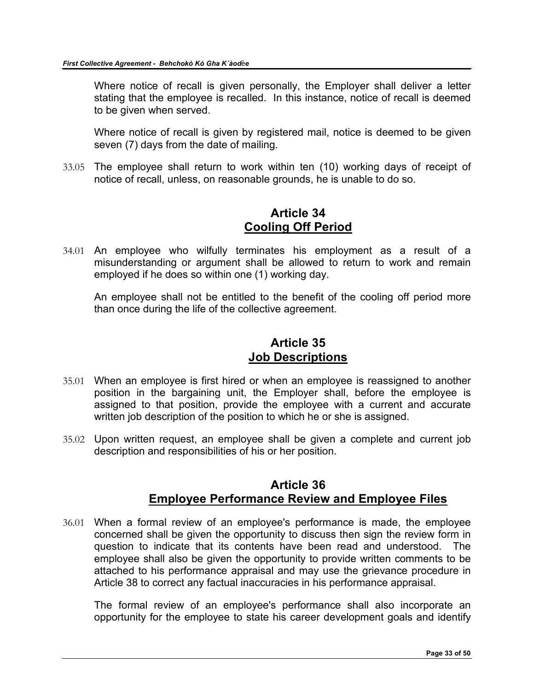Where notice of recall is given personally, the Employer shall deliver a letter stating that the employee is recalled. In this instance, notice of recall is deemed to be given when served.

Where notice of recall is given by registered mail, notice is deemed to be given seven (7) days from the date of mailing.

33.05 The employee shall return to work within ten (10) working days of receipt of notice of recall, unless, on reasonable grounds, he is unable to do so.

# **Article 34 Cooling Off Period**

<span id="page-32-0"></span>34.01 An employee who wilfully terminates his employment as a result of a misunderstanding or argument shall be allowed to return to work and remain employed if he does so within one (1) working day.

An employee shall not be entitled to the benefit of the cooling off period more than once during the life of the collective agreement.

### **Article 35 Job Descriptions**

- <span id="page-32-1"></span>35.01 When an employee is first hired or when an employee is reassigned to another position in the bargaining unit, the Employer shall, before the employee is assigned to that position, provide the employee with a current and accurate written job description of the position to which he or she is assigned.
- 35.02 Upon written request, an employee shall be given a complete and current job description and responsibilities of his or her position.

### **Article 36 Employee Performance Review and Employee Files**

<span id="page-32-2"></span>36.01 When a formal review of an employee's performance is made, the employee concerned shall be given the opportunity to discuss then sign the review form in question to indicate that its contents have been read and understood. The employee shall also be given the opportunity to provide written comments to be attached to his performance appraisal and may use the grievance procedure in Article 38 to correct any factual inaccuracies in his performance appraisal.

The formal review of an employee's performance shall also incorporate an opportunity for the employee to state his career development goals and identify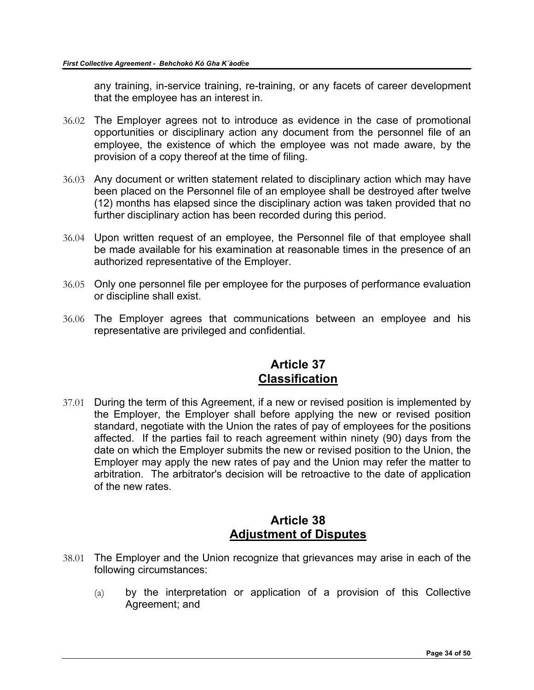any training, in-service training, re-training, or any facets of career development that the employee has an interest in.

- 36.02 The Employer agrees not to introduce as evidence in the case of promotional opportunities or disciplinary action any document from the personnel file of an employee, the existence of which the employee was not made aware, by the provision of a copy thereof at the time of filing.
- 36.03 Any document or written statement related to disciplinary action which may have been placed on the Personnel file of an employee shall be destroyed after twelve (12) months has elapsed since the disciplinary action was taken provided that no further disciplinary action has been recorded during this period.
- 36.04 Upon written request of an employee, the Personnel file of that employee shall be made available for his examination at reasonable times in the presence of an authorized representative of the Employer.
- 36.05 Only one personnel file per employee for the purposes of performance evaluation or discipline shall exist.
- 36.06 The Employer agrees that communications between an employee and his representative are privileged and confidential.

# **Article 37 Classification**

<span id="page-33-0"></span>37.01 During the term of this Agreement, if a new or revised position is implemented by the Employer, the Employer shall before applying the new or revised position standard, negotiate with the Union the rates of pay of employees for the positions affected. If the parties fail to reach agreement within ninety (90) days from the date on which the Employer submits the new or revised position to the Union, the Employer may apply the new rates of pay and the Union may refer the matter to arbitration. The arbitrator's decision will be retroactive to the date of application of the new rates.

### **Article 38 Adjustment of Disputes**

- <span id="page-33-1"></span>38.01 The Employer and the Union recognize that grievances may arise in each of the following circumstances:
	- (a) by the interpretation or application of a provision of this Collective Agreement; and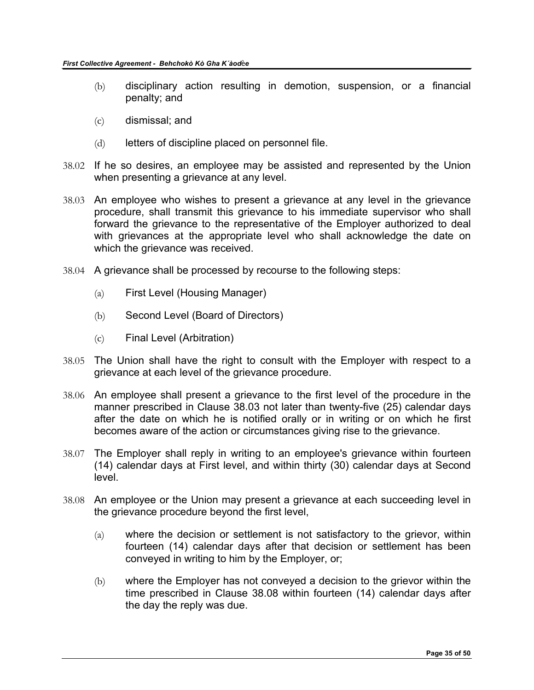- (b) disciplinary action resulting in demotion, suspension, or a financial penalty; and
- (c) dismissal; and
- (d) letters of discipline placed on personnel file.
- 38.02 If he so desires, an employee may be assisted and represented by the Union when presenting a grievance at any level.
- 38.03 An employee who wishes to present a grievance at any level in the grievance procedure, shall transmit this grievance to his immediate supervisor who shall forward the grievance to the representative of the Employer authorized to deal with grievances at the appropriate level who shall acknowledge the date on which the grievance was received.
- 38.04 A grievance shall be processed by recourse to the following steps:
	- (a) First Level (Housing Manager)
	- (b) Second Level (Board of Directors)
	- (c) Final Level (Arbitration)
- 38.05 The Union shall have the right to consult with the Employer with respect to a grievance at each level of the grievance procedure.
- 38.06 An employee shall present a grievance to the first level of the procedure in the manner prescribed in Clause 38.03 not later than twenty-five (25) calendar days after the date on which he is notified orally or in writing or on which he first becomes aware of the action or circumstances giving rise to the grievance.
- 38.07 The Employer shall reply in writing to an employee's grievance within fourteen (14) calendar days at First level, and within thirty (30) calendar days at Second level.
- 38.08 An employee or the Union may present a grievance at each succeeding level in the grievance procedure beyond the first level,
	- (a) where the decision or settlement is not satisfactory to the grievor, within fourteen (14) calendar days after that decision or settlement has been conveyed in writing to him by the Employer, or;
	- (b) where the Employer has not conveyed a decision to the grievor within the time prescribed in Clause 38.08 within fourteen (14) calendar days after the day the reply was due.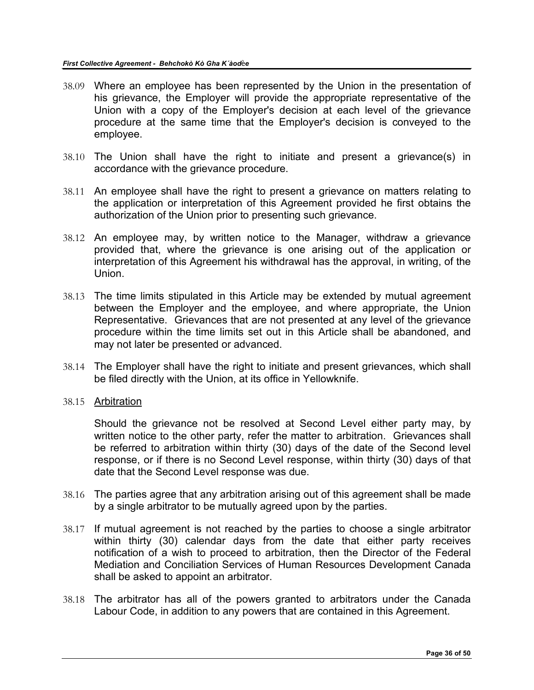- 38.09 Where an employee has been represented by the Union in the presentation of his grievance, the Employer will provide the appropriate representative of the Union with a copy of the Employer's decision at each level of the grievance procedure at the same time that the Employer's decision is conveyed to the employee.
- 38.10 The Union shall have the right to initiate and present a grievance(s) in accordance with the grievance procedure.
- 38.11 An employee shall have the right to present a grievance on matters relating to the application or interpretation of this Agreement provided he first obtains the authorization of the Union prior to presenting such grievance.
- 38.12 An employee may, by written notice to the Manager, withdraw a grievance provided that, where the grievance is one arising out of the application or interpretation of this Agreement his withdrawal has the approval, in writing, of the Union.
- 38.13 The time limits stipulated in this Article may be extended by mutual agreement between the Employer and the employee, and where appropriate, the Union Representative. Grievances that are not presented at any level of the grievance procedure within the time limits set out in this Article shall be abandoned, and may not later be presented or advanced.
- 38.14 The Employer shall have the right to initiate and present grievances, which shall be filed directly with the Union, at its office in Yellowknife.
- 38.15 Arbitration

Should the grievance not be resolved at Second Level either party may, by written notice to the other party, refer the matter to arbitration. Grievances shall be referred to arbitration within thirty (30) days of the date of the Second level response, or if there is no Second Level response, within thirty (30) days of that date that the Second Level response was due.

- 38.16 The parties agree that any arbitration arising out of this agreement shall be made by a single arbitrator to be mutually agreed upon by the parties.
- 38.17 If mutual agreement is not reached by the parties to choose a single arbitrator within thirty (30) calendar days from the date that either party receives notification of a wish to proceed to arbitration, then the Director of the Federal Mediation and Conciliation Services of Human Resources Development Canada shall be asked to appoint an arbitrator.
- 38.18 The arbitrator has all of the powers granted to arbitrators under the Canada Labour Code, in addition to any powers that are contained in this Agreement.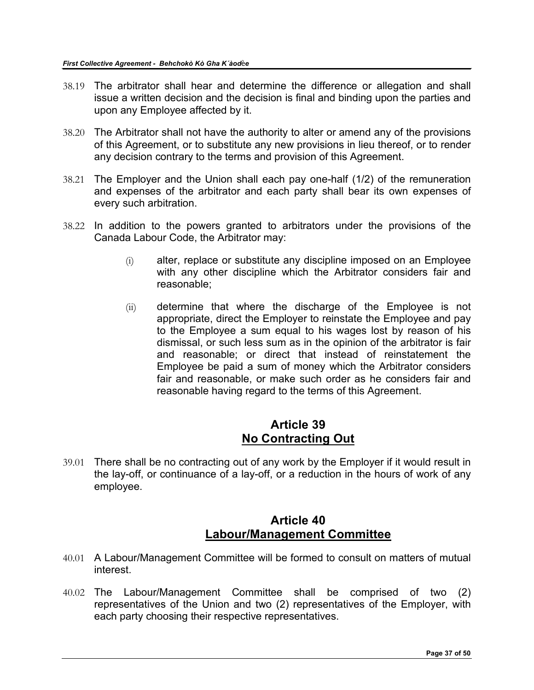- 38.19 The arbitrator shall hear and determine the difference or allegation and shall issue a written decision and the decision is final and binding upon the parties and upon any Employee affected by it.
- 38.20 The Arbitrator shall not have the authority to alter or amend any of the provisions of this Agreement, or to substitute any new provisions in lieu thereof, or to render any decision contrary to the terms and provision of this Agreement.
- 38.21 The Employer and the Union shall each pay one-half (1/2) of the remuneration and expenses of the arbitrator and each party shall bear its own expenses of every such arbitration.
- 38.22 In addition to the powers granted to arbitrators under the provisions of the Canada Labour Code, the Arbitrator may:
	- (i) alter, replace or substitute any discipline imposed on an Employee with any other discipline which the Arbitrator considers fair and reasonable;
	- (ii) determine that where the discharge of the Employee is not appropriate, direct the Employer to reinstate the Employee and pay to the Employee a sum equal to his wages lost by reason of his dismissal, or such less sum as in the opinion of the arbitrator is fair and reasonable; or direct that instead of reinstatement the Employee be paid a sum of money which the Arbitrator considers fair and reasonable, or make such order as he considers fair and reasonable having regard to the terms of this Agreement.

## **Article 39 No Contracting Out**

<span id="page-36-0"></span>39.01 There shall be no contracting out of any work by the Employer if it would result in the lay-off, or continuance of a lay-off, or a reduction in the hours of work of any employee.

### **Article 40 Labour/Management Committee**

- <span id="page-36-1"></span>40.01 A Labour/Management Committee will be formed to consult on matters of mutual interest.
- 40.02 The Labour/Management Committee shall be comprised of two (2) representatives of the Union and two (2) representatives of the Employer, with each party choosing their respective representatives.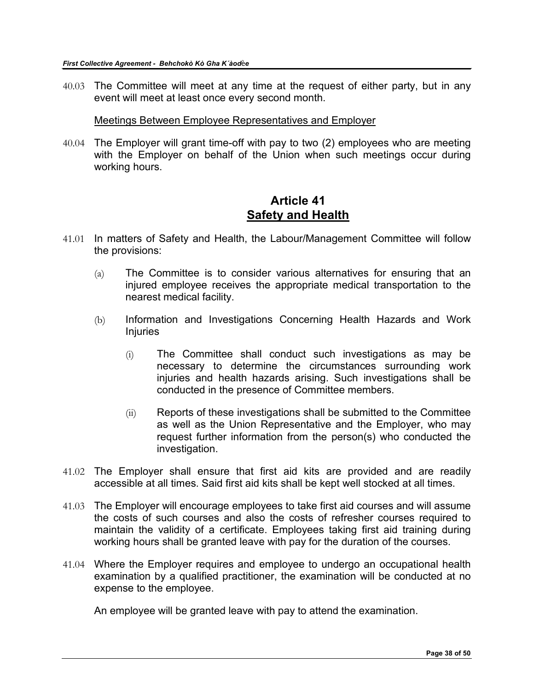40.03 The Committee will meet at any time at the request of either party, but in any event will meet at least once every second month.

Meetings Between Employee Representatives and Employer

40.04 The Employer will grant time-off with pay to two (2) employees who are meeting with the Employer on behalf of the Union when such meetings occur during working hours.

### **Article 41 Safety and Health**

- <span id="page-37-0"></span>41.01 In matters of Safety and Health, the Labour/Management Committee will follow the provisions:
	- (a) The Committee is to consider various alternatives for ensuring that an injured employee receives the appropriate medical transportation to the nearest medical facility.
	- (b) Information and Investigations Concerning Health Hazards and Work Injuries
		- (i) The Committee shall conduct such investigations as may be necessary to determine the circumstances surrounding work injuries and health hazards arising. Such investigations shall be conducted in the presence of Committee members.
		- (ii) Reports of these investigations shall be submitted to the Committee as well as the Union Representative and the Employer, who may request further information from the person(s) who conducted the investigation.
- 41.02 The Employer shall ensure that first aid kits are provided and are readily accessible at all times. Said first aid kits shall be kept well stocked at all times.
- 41.03 The Employer will encourage employees to take first aid courses and will assume the costs of such courses and also the costs of refresher courses required to maintain the validity of a certificate. Employees taking first aid training during working hours shall be granted leave with pay for the duration of the courses.
- 41.04 Where the Employer requires and employee to undergo an occupational health examination by a qualified practitioner, the examination will be conducted at no expense to the employee.

An employee will be granted leave with pay to attend the examination.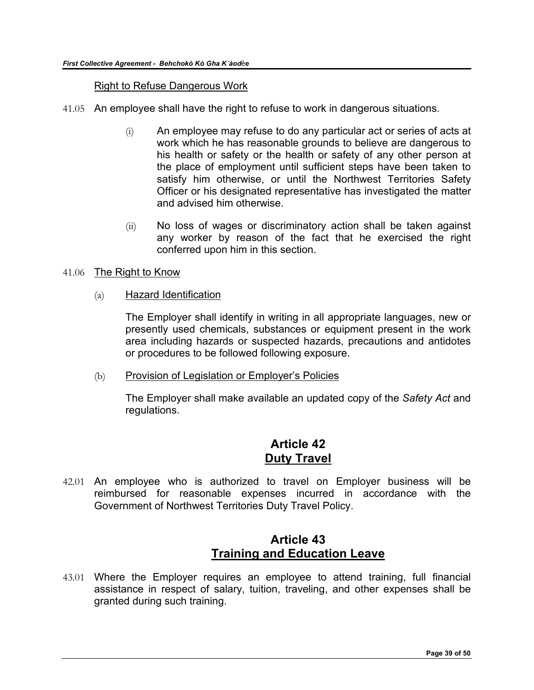#### Right to Refuse Dangerous Work

- 41.05 An employee shall have the right to refuse to work in dangerous situations.
	- (i) An employee may refuse to do any particular act or series of acts at work which he has reasonable grounds to believe are dangerous to his health or safety or the health or safety of any other person at the place of employment until sufficient steps have been taken to satisfy him otherwise, or until the Northwest Territories Safety Officer or his designated representative has investigated the matter and advised him otherwise.
	- (ii) No loss of wages or discriminatory action shall be taken against any worker by reason of the fact that he exercised the right conferred upon him in this section.

#### 41.06 The Right to Know

(a) Hazard Identification

The Employer shall identify in writing in all appropriate languages, new or presently used chemicals, substances or equipment present in the work area including hazards or suspected hazards, precautions and antidotes or procedures to be followed following exposure.

(b) Provision of Legislation or Employer's Policies

The Employer shall make available an updated copy of the *Safety Act* and regulations.

### **Article 42 Duty Travel**

<span id="page-38-0"></span>42.01 An employee who is authorized to travel on Employer business will be reimbursed for reasonable expenses incurred in accordance with the Government of Northwest Territories Duty Travel Policy.

### **Article 43 Training and Education Leave**

<span id="page-38-1"></span>43.01 Where the Employer requires an employee to attend training, full financial assistance in respect of salary, tuition, traveling, and other expenses shall be granted during such training.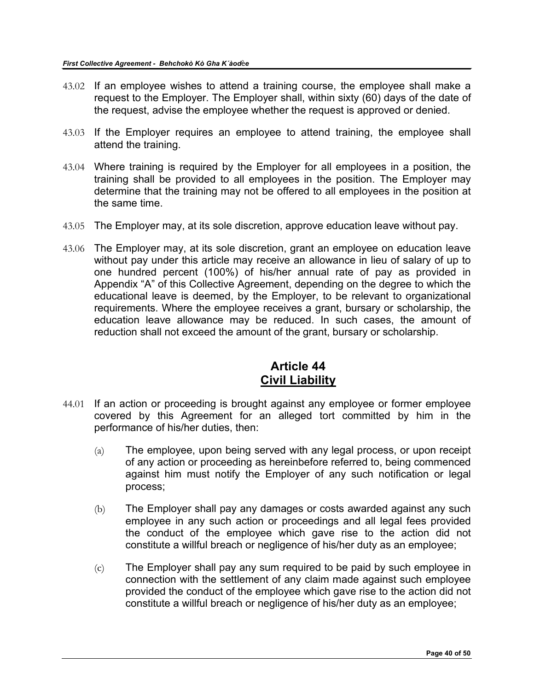- 43.02 If an employee wishes to attend a training course, the employee shall make a request to the Employer. The Employer shall, within sixty (60) days of the date of the request, advise the employee whether the request is approved or denied.
- 43.03 If the Employer requires an employee to attend training, the employee shall attend the training.
- 43.04 Where training is required by the Employer for all employees in a position, the training shall be provided to all employees in the position. The Employer may determine that the training may not be offered to all employees in the position at the same time.
- 43.05 The Employer may, at its sole discretion, approve education leave without pay.
- 43.06 The Employer may, at its sole discretion, grant an employee on education leave without pay under this article may receive an allowance in lieu of salary of up to one hundred percent (100%) of his/her annual rate of pay as provided in Appendix "A" of this Collective Agreement, depending on the degree to which the educational leave is deemed, by the Employer, to be relevant to organizational requirements. Where the employee receives a grant, bursary or scholarship, the education leave allowance may be reduced. In such cases, the amount of reduction shall not exceed the amount of the grant, bursary or scholarship.

# **Article 44 Civil Liability**

- <span id="page-39-0"></span>44.01 If an action or proceeding is brought against any employee or former employee covered by this Agreement for an alleged tort committed by him in the performance of his/her duties, then:
	- (a) The employee, upon being served with any legal process, or upon receipt of any action or proceeding as hereinbefore referred to, being commenced against him must notify the Employer of any such notification or legal process;
	- (b) The Employer shall pay any damages or costs awarded against any such employee in any such action or proceedings and all legal fees provided the conduct of the employee which gave rise to the action did not constitute a willful breach or negligence of his/her duty as an employee;
	- (c) The Employer shall pay any sum required to be paid by such employee in connection with the settlement of any claim made against such employee provided the conduct of the employee which gave rise to the action did not constitute a willful breach or negligence of his/her duty as an employee;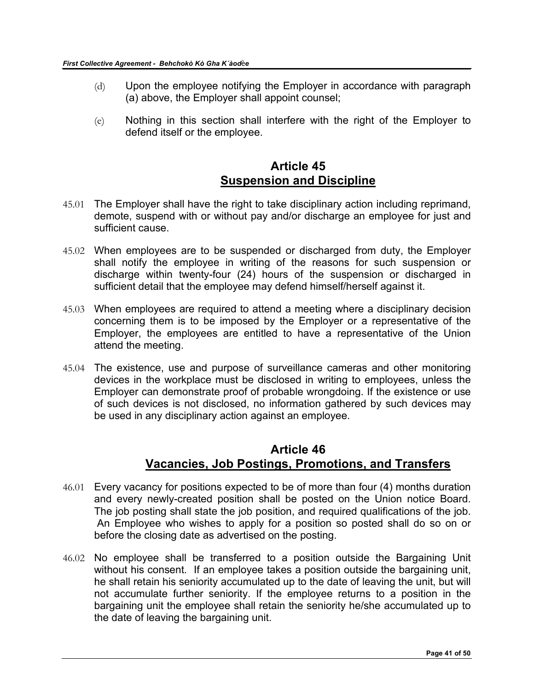- (d) Upon the employee notifying the Employer in accordance with paragraph (a) above, the Employer shall appoint counsel;
- (e) Nothing in this section shall interfere with the right of the Employer to defend itself or the employee.

# **Article 45 Suspension and Discipline**

- <span id="page-40-0"></span>45.01 The Employer shall have the right to take disciplinary action including reprimand, demote, suspend with or without pay and/or discharge an employee for just and sufficient cause.
- 45.02 When employees are to be suspended or discharged from duty, the Employer shall notify the employee in writing of the reasons for such suspension or discharge within twenty-four (24) hours of the suspension or discharged in sufficient detail that the employee may defend himself/herself against it.
- 45.03 When employees are required to attend a meeting where a disciplinary decision concerning them is to be imposed by the Employer or a representative of the Employer, the employees are entitled to have a representative of the Union attend the meeting.
- 45.04 The existence, use and purpose of surveillance cameras and other monitoring devices in the workplace must be disclosed in writing to employees, unless the Employer can demonstrate proof of probable wrongdoing. If the existence or use of such devices is not disclosed, no information gathered by such devices may be used in any disciplinary action against an employee.

### **Article 46 Vacancies, Job Postings, Promotions, and Transfers**

- <span id="page-40-1"></span>46.01 Every vacancy for positions expected to be of more than four (4) months duration and every newly-created position shall be posted on the Union notice Board. The job posting shall state the job position, and required qualifications of the job. An Employee who wishes to apply for a position so posted shall do so on or before the closing date as advertised on the posting.
- 46.02 No employee shall be transferred to a position outside the Bargaining Unit without his consent. If an employee takes a position outside the bargaining unit, he shall retain his seniority accumulated up to the date of leaving the unit, but will not accumulate further seniority. If the employee returns to a position in the bargaining unit the employee shall retain the seniority he/she accumulated up to the date of leaving the bargaining unit.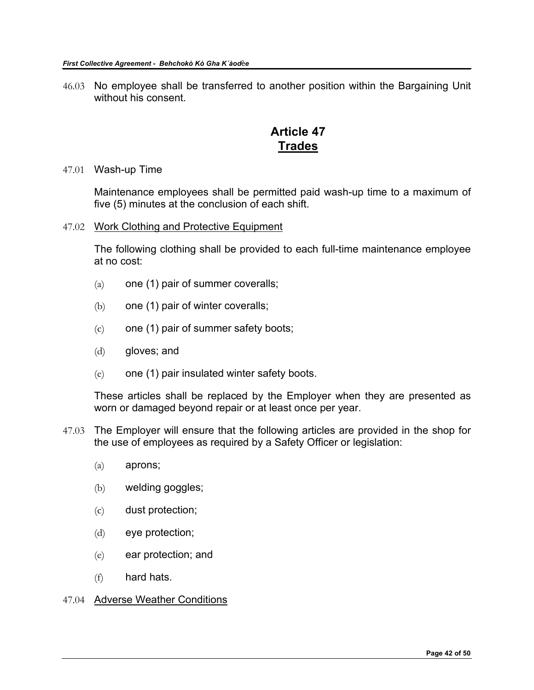46.03 No employee shall be transferred to another position within the Bargaining Unit without his consent.

# **Article 47 Trades**

#### <span id="page-41-0"></span>47.01 Wash-up Time

Maintenance employees shall be permitted paid wash-up time to a maximum of five (5) minutes at the conclusion of each shift.

47.02 Work Clothing and Protective Equipment

The following clothing shall be provided to each full-time maintenance employee at no cost:

- $(a)$  one (1) pair of summer coveralls;
- (b) one (1) pair of winter coveralls;
- $(c)$  one (1) pair of summer safety boots;
- (d) gloves; and
- (e) one (1) pair insulated winter safety boots.

These articles shall be replaced by the Employer when they are presented as worn or damaged beyond repair or at least once per year.

- 47.03 The Employer will ensure that the following articles are provided in the shop for the use of employees as required by a Safety Officer or legislation:
	- (a) aprons;
	- (b) welding goggles;
	- (c) dust protection;
	- (d) eye protection;
	- (e) ear protection; and
	- (f) hard hats.

#### 47.04 Adverse Weather Conditions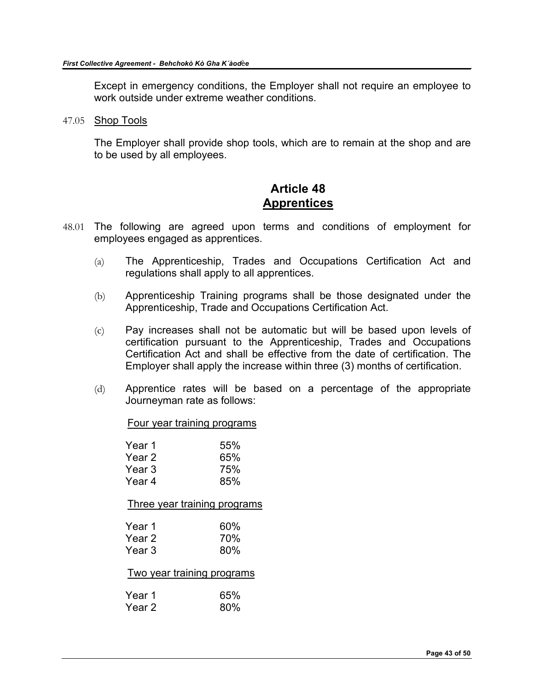Except in emergency conditions, the Employer shall not require an employee to work outside under extreme weather conditions.

47.05 Shop Tools

The Employer shall provide shop tools, which are to remain at the shop and are to be used by all employees.

### **Article 48 Apprentices**

- <span id="page-42-0"></span>48.01 The following are agreed upon terms and conditions of employment for employees engaged as apprentices.
	- (a) The Apprenticeship, Trades and Occupations Certification Act and regulations shall apply to all apprentices.
	- (b) Apprenticeship Training programs shall be those designated under the Apprenticeship, Trade and Occupations Certification Act.
	- (c) Pay increases shall not be automatic but will be based upon levels of certification pursuant to the Apprenticeship, Trades and Occupations Certification Act and shall be effective from the date of certification. The Employer shall apply the increase within three (3) months of certification.
	- (d) Apprentice rates will be based on a percentage of the appropriate Journeyman rate as follows:

Four year training programs

| Year 1 | 55% |
|--------|-----|
| Year 2 | 65% |
| Year 3 | 75% |
| Year 4 | 85% |

Three year training programs

| Year 1 | 60% |
|--------|-----|
| Year 2 | 70% |
| Year 3 | 80% |

Two year training programs

| Year 1 | 65% |
|--------|-----|
| Year 2 | 80% |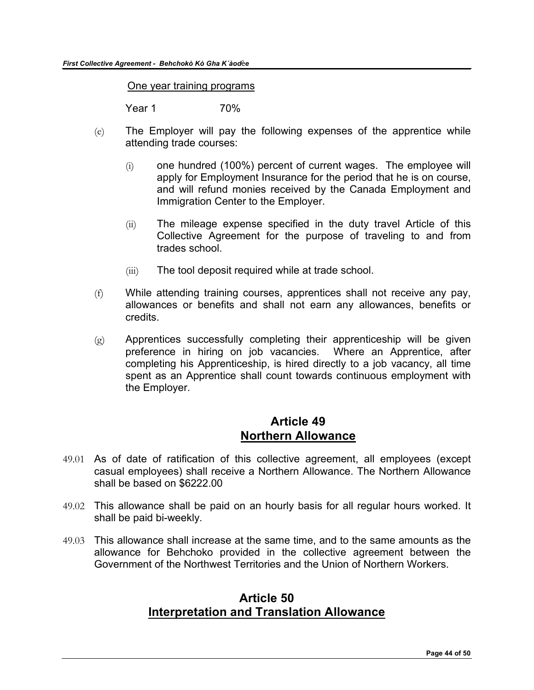One year training programs

Year 1 70%

- (e) The Employer will pay the following expenses of the apprentice while attending trade courses:
	- (i) one hundred (100%) percent of current wages. The employee will apply for Employment Insurance for the period that he is on course, and will refund monies received by the Canada Employment and Immigration Center to the Employer.
	- (ii) The mileage expense specified in the duty travel Article of this Collective Agreement for the purpose of traveling to and from trades school.
	- (iii) The tool deposit required while at trade school.
- (f) While attending training courses, apprentices shall not receive any pay, allowances or benefits and shall not earn any allowances, benefits or credits.
- $(g)$  Apprentices successfully completing their apprenticeship will be given preference in hiring on job vacancies. Where an Apprentice, after completing his Apprenticeship, is hired directly to a job vacancy, all time spent as an Apprentice shall count towards continuous employment with the Employer.

### **Article 49 Northern Allowance**

- <span id="page-43-0"></span>49.01 As of date of ratification of this collective agreement, all employees (except casual employees) shall receive a Northern Allowance. The Northern Allowance shall be based on \$6222.00
- 49.02 This allowance shall be paid on an hourly basis for all regular hours worked. It shall be paid bi-weekly.
- <span id="page-43-1"></span>49.03 This allowance shall increase at the same time, and to the same amounts as the allowance for Behchoko provided in the collective agreement between the Government of the Northwest Territories and the Union of Northern Workers.

### **Article 50 Interpretation and Translation Allowance**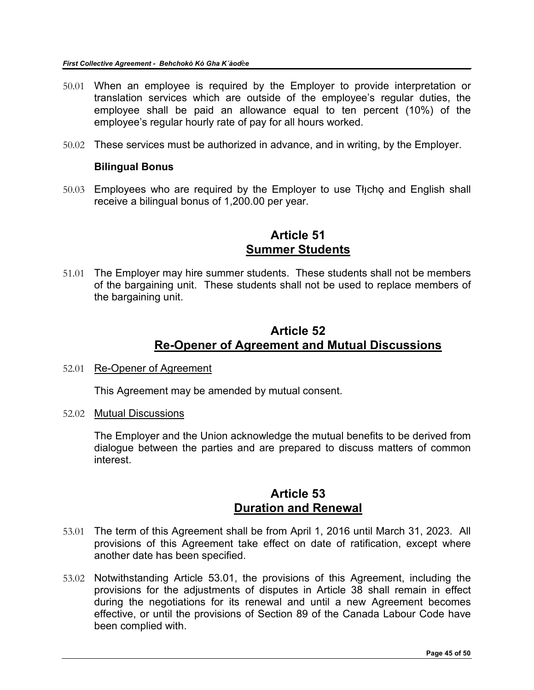- 50.01 When an employee is required by the Employer to provide interpretation or translation services which are outside of the employee's regular duties, the employee shall be paid an allowance equal to ten percent (10%) of the employee's regular hourly rate of pay for all hours worked.
- 50.02 These services must be authorized in advance, and in writing, by the Employer.

#### **Bilingual Bonus**

 $50.03$  Employees who are required by the Employer to use Theophy and English shall receive a bilingual bonus of 1,200.00 per year.

### **Article 51 Summer Students**

<span id="page-44-0"></span>51.01 The Employer may hire summer students. These students shall not be members of the bargaining unit. These students shall not be used to replace members of the bargaining unit.

### **Article 52 Re-Opener of Agreement and Mutual Discussions**

<span id="page-44-1"></span>52.01 Re-Opener of Agreement

This Agreement may be amended by mutual consent.

52.02 Mutual Discussions

The Employer and the Union acknowledge the mutual benefits to be derived from dialogue between the parties and are prepared to discuss matters of common interest.

### **Article 53 Duration and Renewal**

- <span id="page-44-2"></span>53.01 The term of this Agreement shall be from April 1, 2016 until March 31, 2023. All provisions of this Agreement take effect on date of ratification, except where another date has been specified.
- 53.02 Notwithstanding Article 53.01, the provisions of this Agreement, including the provisions for the adjustments of disputes in Article 38 shall remain in effect during the negotiations for its renewal and until a new Agreement becomes effective, or until the provisions of Section 89 of the Canada Labour Code have been complied with.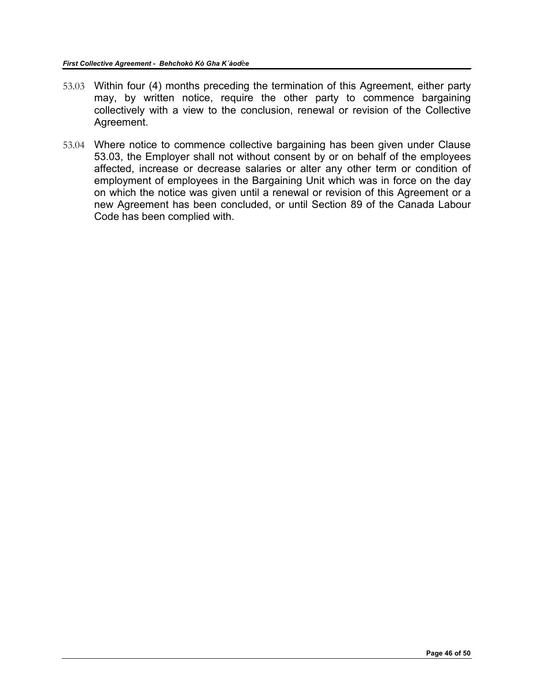- 53.03 Within four (4) months preceding the termination of this Agreement, either party may, by written notice, require the other party to commence bargaining collectively with a view to the conclusion, renewal or revision of the Collective Agreement.
- 53.04 Where notice to commence collective bargaining has been given under Clause 53.03, the Employer shall not without consent by or on behalf of the employees affected, increase or decrease salaries or alter any other term or condition of employment of employees in the Bargaining Unit which was in force on the day on which the notice was given until a renewal or revision of this Agreement or a new Agreement has been concluded, or until Section 89 of the Canada Labour Code has been complied with.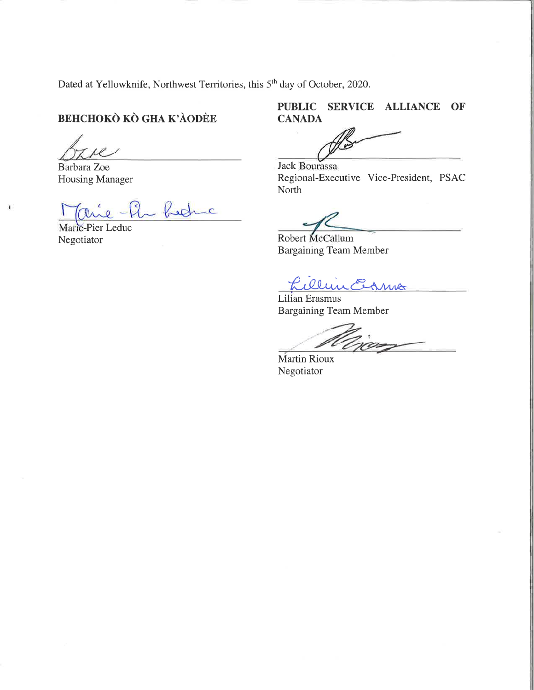Dated at Yellowknife, Northwest Territories, this 5<sup>th</sup> day of October, 2020.

# BEHCHOKÒ KÒ GHA K'ÀODÈE

Barbara Zoe Housing Manager

bedric  $\Omega$ 

Marie-Pier Leduc Negotiator

 $\pmb{\cdot}$ 

### PUBLIC SERVICE ALLIANCE OF CANADA

**Jack Bourassa** Regional-Executive Vice-President, PSAC North

Robert McCallum Bargaining Team Member

Lillin Ednis

Lilian Erasmus Bargaining Team Member

Martin Rioux Negotiator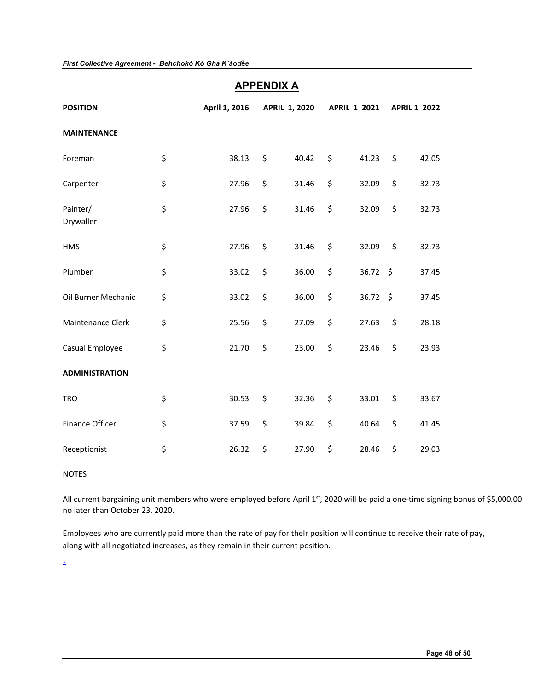### **APPENDIX A**

<span id="page-47-0"></span>

| <b>POSITION</b>        | April 1, 2016 | <b>APRIL 1, 2020</b> |       | <b>APRIL 1 2021</b> |            | <b>APRIL 1 2022</b> |       |
|------------------------|---------------|----------------------|-------|---------------------|------------|---------------------|-------|
| <b>MAINTENANCE</b>     |               |                      |       |                     |            |                     |       |
| Foreman                | \$<br>38.13   | \$                   | 40.42 | \$                  | 41.23      | \$                  | 42.05 |
| Carpenter              | \$<br>27.96   | \$                   | 31.46 | \$                  | 32.09      | \$                  | 32.73 |
| Painter/<br>Drywaller  | \$<br>27.96   | \$                   | 31.46 | \$                  | 32.09      | \$                  | 32.73 |
| <b>HMS</b>             | \$<br>27.96   | \$                   | 31.46 | \$                  | 32.09      | \$                  | 32.73 |
| Plumber                | \$<br>33.02   | \$                   | 36.00 | \$                  | 36.72      | -\$                 | 37.45 |
| Oil Burner Mechanic    | \$<br>33.02   | \$                   | 36.00 | \$                  | $36.72$ \$ |                     | 37.45 |
| Maintenance Clerk      | \$<br>25.56   | \$                   | 27.09 | \$                  | 27.63      | \$                  | 28.18 |
| Casual Employee        | \$<br>21.70   | \$                   | 23.00 | \$                  | 23.46      | \$                  | 23.93 |
| <b>ADMINISTRATION</b>  |               |                      |       |                     |            |                     |       |
| <b>TRO</b>             | \$<br>30.53   | \$                   | 32.36 | \$                  | 33.01      | \$                  | 33.67 |
| <b>Finance Officer</b> | \$<br>37.59   | \$                   | 39.84 | \$                  | 40.64      | \$                  | 41.45 |
| Receptionist           | \$<br>26.32   | \$                   | 27.90 | \$                  | 28.46      | \$                  | 29.03 |

#### NOTES

All current bargaining unit members who were employed before April 1st, 2020 will be paid a one-time signing bonus of \$5,000.00 no later than October 23, 2020.

Employees who are currently paid more than the rate of pay for theIr position will continue to receive their rate of pay, along with all negotiated increases, as they remain in their current position.

.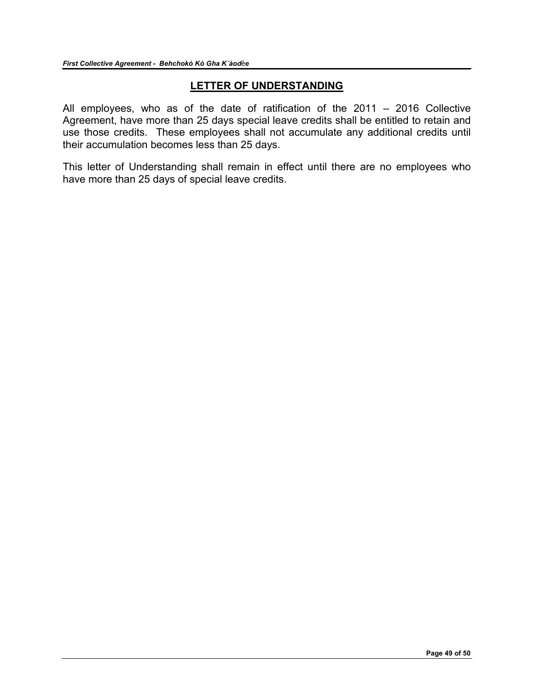### **LETTER OF UNDERSTANDING**

<span id="page-48-0"></span>All employees, who as of the date of ratification of the 2011 – 2016 Collective Agreement, have more than 25 days special leave credits shall be entitled to retain and use those credits. These employees shall not accumulate any additional credits until their accumulation becomes less than 25 days.

This letter of Understanding shall remain in effect until there are no employees who have more than 25 days of special leave credits.